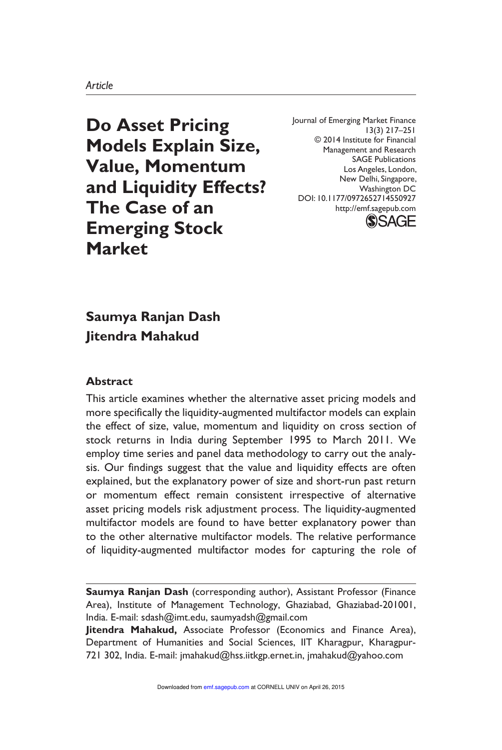**Do Asset Pricing Models Explain Size, Value, Momentum and Liquidity Effects? The Case of an Emerging Stock Market**

Journal of Emerging Market Finance 13(3) 217–251 © 2014 Institute for Financial Management and Research SAGE Publications Los Angeles, London, New Delhi, Singapore, Washington DC DOI: 10.1177/0972652714550927 http://emf.sagepub.com



# **Saumya Ranjan Dash Jitendra Mahakud**

#### **Abstract**

This article examines whether the alternative asset pricing models and more specifically the liquidity-augmented multifactor models can explain the effect of size, value, momentum and liquidity on cross section of stock returns in India during September 1995 to March 2011. We employ time series and panel data methodology to carry out the analysis. Our findings suggest that the value and liquidity effects are often explained, but the explanatory power of size and short-run past return or momentum effect remain consistent irrespective of alternative asset pricing models risk adjustment process. The liquidity-augmented multifactor models are found to have better explanatory power than to the other alternative multifactor models. The relative performance of liquidity-augmented multifactor modes for capturing the role of

**Saumya Ranjan Dash** (corresponding author), Assistant Professor (Finance Area), Institute of Management Technology, Ghaziabad, Ghaziabad-201001, India. E-mail: sdash@imt.edu, saumyadsh@gmail.com

**Jitendra Mahakud,** Associate Professor (Economics and Finance Area), Department of Humanities and Social Sciences, IIT Kharagpur, Kharagpur-721 302, India. E-mail: jmahakud@hss.iitkgp.ernet.in, jmahakud@yahoo.com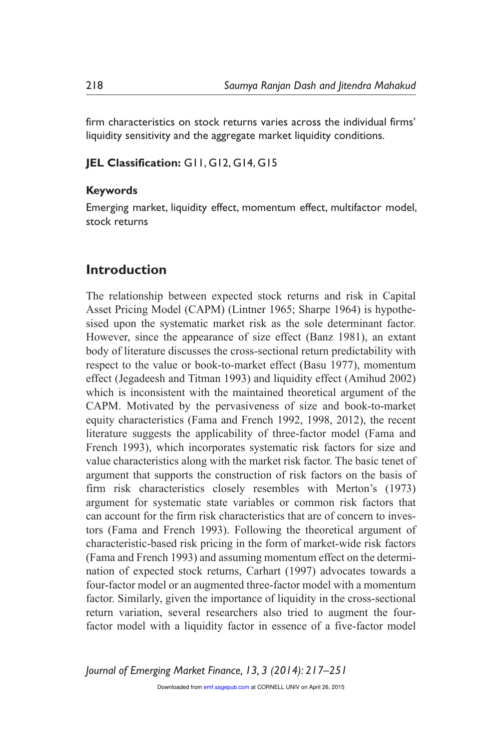firm characteristics on stock returns varies across the individual firms' liquidity sensitivity and the aggregate market liquidity conditions.

#### **JEL Classification:** G11, G12, G14, G15

#### **Keywords**

Emerging market, liquidity effect, momentum effect, multifactor model, stock returns

### **Introduction**

The relationship between expected stock returns and risk in Capital Asset Pricing Model (CAPM) (Lintner 1965; Sharpe 1964) is hypothesised upon the systematic market risk as the sole determinant factor. However, since the appearance of size effect (Banz 1981), an extant body of literature discusses the cross-sectional return predictability with respect to the value or book-to-market effect (Basu 1977), momentum effect (Jegadeesh and Titman 1993) and liquidity effect (Amihud 2002) which is inconsistent with the maintained theoretical argument of the CAPM. Motivated by the pervasiveness of size and book-to-market equity characteristics (Fama and French 1992, 1998, 2012), the recent literature suggests the applicability of three-factor model (Fama and French 1993), which incorporates systematic risk factors for size and value characteristics along with the market risk factor. The basic tenet of argument that supports the construction of risk factors on the basis of firm risk characteristics closely resembles with Merton's (1973) argument for systematic state variables or common risk factors that can account for the firm risk characteristics that are of concern to investors (Fama and French 1993). Following the theoretical argument of characteristic-based risk pricing in the form of market-wide risk factors (Fama and French 1993) and assuming momentum effect on the determination of expected stock returns, Carhart (1997) advocates towards a four-factor model or an augmented three-factor model with a momentum factor. Similarly, given the importance of liquidity in the cross-sectional return variation, several researchers also tried to augment the fourfactor model with a liquidity factor in essence of a five-factor model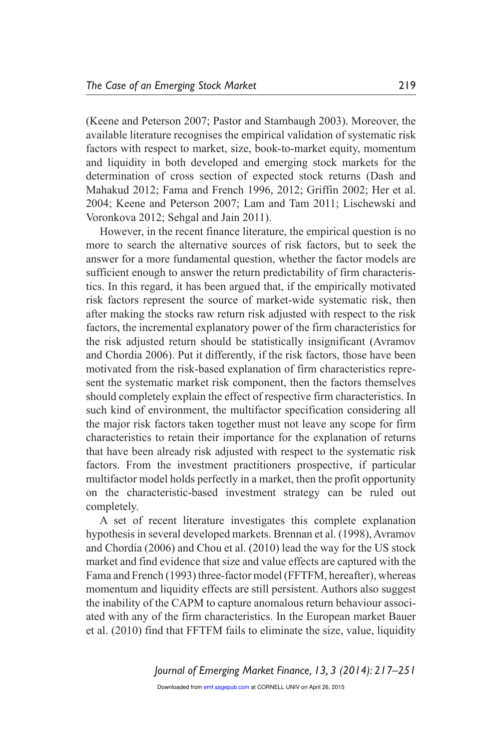(Keene and Peterson 2007; Pastor and Stambaugh 2003). Moreover, the available literature recognises the empirical validation of systematic risk factors with respect to market, size, book-to-market equity, momentum and liquidity in both developed and emerging stock markets for the determination of cross section of expected stock returns (Dash and Mahakud 2012; Fama and French 1996, 2012; Griffin 2002; Her et al. 2004; Keene and Peterson 2007; Lam and Tam 2011; Lischewski and Voronkova 2012; Sehgal and Jain 2011).

However, in the recent finance literature, the empirical question is no more to search the alternative sources of risk factors, but to seek the answer for a more fundamental question, whether the factor models are sufficient enough to answer the return predictability of firm characteristics. In this regard, it has been argued that, if the empirically motivated risk factors represent the source of market-wide systematic risk, then after making the stocks raw return risk adjusted with respect to the risk factors, the incremental explanatory power of the firm characteristics for the risk adjusted return should be statistically insignificant (Avramov and Chordia 2006). Put it differently, if the risk factors, those have been motivated from the risk-based explanation of firm characteristics represent the systematic market risk component, then the factors themselves should completely explain the effect of respective firm characteristics. In such kind of environment, the multifactor specification considering all the major risk factors taken together must not leave any scope for firm characteristics to retain their importance for the explanation of returns that have been already risk adjusted with respect to the systematic risk factors. From the investment practitioners prospective, if particular multifactor model holds perfectly in a market, then the profit opportunity on the characteristic-based investment strategy can be ruled out completely.

A set of recent literature investigates this complete explanation hypothesis in several developed markets. Brennan et al. (1998), Avramov and Chordia (2006) and Chou et al. (2010) lead the way for the US stock market and find evidence that size and value effects are captured with the Fama and French (1993) three-factor model (FFTFM, hereafter), whereas momentum and liquidity effects are still persistent. Authors also suggest the inability of the CAPM to capture anomalous return behaviour associated with any of the firm characteristics. In the European market Bauer et al. (2010) find that FFTFM fails to eliminate the size, value, liquidity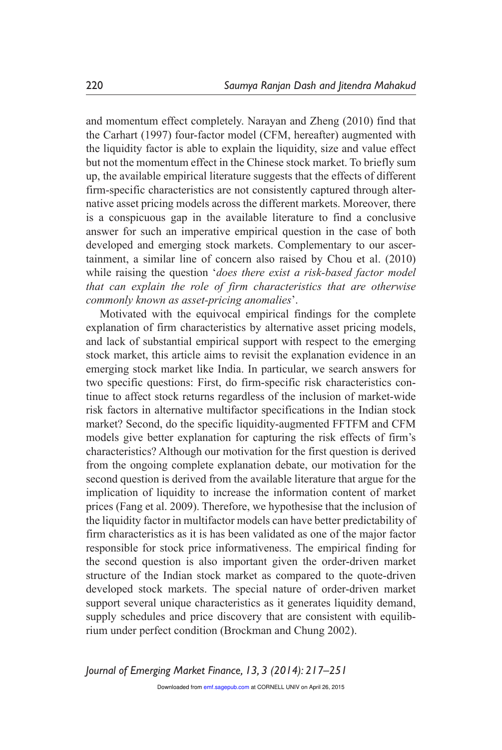and momentum effect completely. Narayan and Zheng (2010) find that the Carhart (1997) four-factor model (CFM, hereafter) augmented with the liquidity factor is able to explain the liquidity, size and value effect but not the momentum effect in the Chinese stock market. To briefly sum up, the available empirical literature suggests that the effects of different firm-specific characteristics are not consistently captured through alternative asset pricing models across the different markets. Moreover, there is a conspicuous gap in the available literature to find a conclusive answer for such an imperative empirical question in the case of both developed and emerging stock markets. Complementary to our ascertainment, a similar line of concern also raised by Chou et al. (2010) while raising the question '*does there exist a risk-based factor model that can explain the role of firm characteristics that are otherwise commonly known as asset-pricing anomalies*'.

Motivated with the equivocal empirical findings for the complete explanation of firm characteristics by alternative asset pricing models, and lack of substantial empirical support with respect to the emerging stock market, this article aims to revisit the explanation evidence in an emerging stock market like India. In particular, we search answers for two specific questions: First, do firm-specific risk characteristics continue to affect stock returns regardless of the inclusion of market-wide risk factors in alternative multifactor specifications in the Indian stock market? Second, do the specific liquidity-augmented FFTFM and CFM models give better explanation for capturing the risk effects of firm's characteristics? Although our motivation for the first question is derived from the ongoing complete explanation debate, our motivation for the second question is derived from the available literature that argue for the implication of liquidity to increase the information content of market prices (Fang et al. 2009). Therefore, we hypothesise that the inclusion of the liquidity factor in multifactor models can have better predictability of firm characteristics as it is has been validated as one of the major factor responsible for stock price informativeness. The empirical finding for the second question is also important given the order-driven market structure of the Indian stock market as compared to the quote-driven developed stock markets. The special nature of order-driven market support several unique characteristics as it generates liquidity demand, supply schedules and price discovery that are consistent with equilibrium under perfect condition (Brockman and Chung 2002).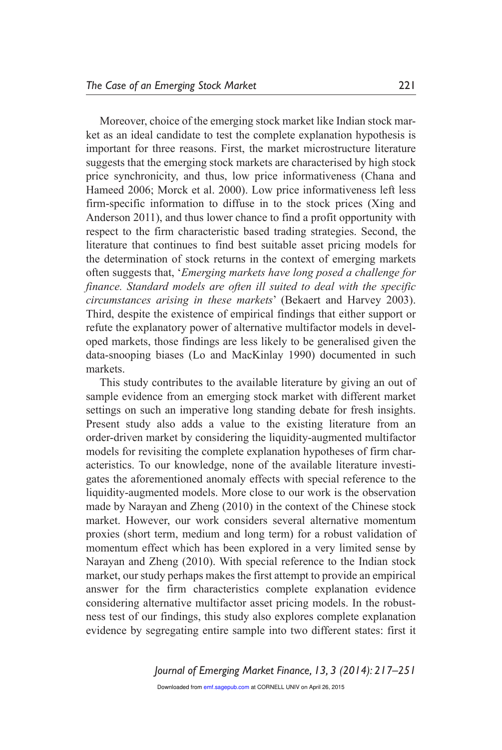Moreover, choice of the emerging stock market like Indian stock market as an ideal candidate to test the complete explanation hypothesis is important for three reasons. First, the market microstructure literature suggests that the emerging stock markets are characterised by high stock price synchronicity, and thus, low price informativeness (Chana and Hameed 2006; Morck et al. 2000). Low price informativeness left less firm-specific information to diffuse in to the stock prices (Xing and Anderson 2011), and thus lower chance to find a profit opportunity with respect to the firm characteristic based trading strategies. Second, the literature that continues to find best suitable asset pricing models for the determination of stock returns in the context of emerging markets often suggests that, '*Emerging markets have long posed a challenge for finance. Standard models are often ill suited to deal with the specific circumstances arising in these markets*' (Bekaert and Harvey 2003). Third, despite the existence of empirical findings that either support or refute the explanatory power of alternative multifactor models in developed markets, those findings are less likely to be generalised given the data-snooping biases (Lo and MacKinlay 1990) documented in such markets.

This study contributes to the available literature by giving an out of sample evidence from an emerging stock market with different market settings on such an imperative long standing debate for fresh insights. Present study also adds a value to the existing literature from an order-driven market by considering the liquidity-augmented multifactor models for revisiting the complete explanation hypotheses of firm characteristics. To our knowledge, none of the available literature investigates the aforementioned anomaly effects with special reference to the liquidity-augmented models. More close to our work is the observation made by Narayan and Zheng (2010) in the context of the Chinese stock market. However, our work considers several alternative momentum proxies (short term, medium and long term) for a robust validation of momentum effect which has been explored in a very limited sense by Narayan and Zheng (2010). With special reference to the Indian stock market, our study perhaps makes the first attempt to provide an empirical answer for the firm characteristics complete explanation evidence considering alternative multifactor asset pricing models. In the robustness test of our findings, this study also explores complete explanation evidence by segregating entire sample into two different states: first it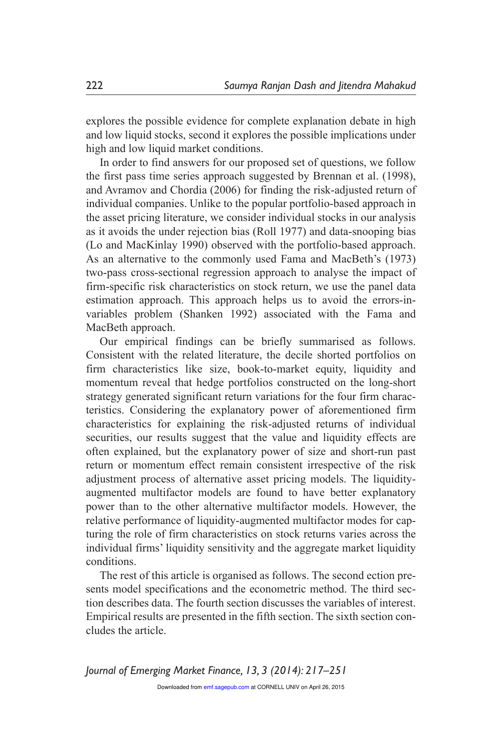explores the possible evidence for complete explanation debate in high and low liquid stocks, second it explores the possible implications under high and low liquid market conditions.

In order to find answers for our proposed set of questions, we follow the first pass time series approach suggested by Brennan et al. (1998), and Avramov and Chordia (2006) for finding the risk-adjusted return of individual companies. Unlike to the popular portfolio-based approach in the asset pricing literature, we consider individual stocks in our analysis as it avoids the under rejection bias (Roll 1977) and data-snooping bias (Lo and MacKinlay 1990) observed with the portfolio-based approach. As an alternative to the commonly used Fama and MacBeth's (1973) two-pass cross-sectional regression approach to analyse the impact of firm-specific risk characteristics on stock return, we use the panel data estimation approach. This approach helps us to avoid the errors-invariables problem (Shanken 1992) associated with the Fama and MacBeth approach.

Our empirical findings can be briefly summarised as follows. Consistent with the related literature, the decile shorted portfolios on firm characteristics like size, book-to-market equity, liquidity and momentum reveal that hedge portfolios constructed on the long-short strategy generated significant return variations for the four firm characteristics. Considering the explanatory power of aforementioned firm characteristics for explaining the risk-adjusted returns of individual securities, our results suggest that the value and liquidity effects are often explained, but the explanatory power of size and short-run past return or momentum effect remain consistent irrespective of the risk adjustment process of alternative asset pricing models. The liquidityaugmented multifactor models are found to have better explanatory power than to the other alternative multifactor models. However, the relative performance of liquidity-augmented multifactor modes for capturing the role of firm characteristics on stock returns varies across the individual firms' liquidity sensitivity and the aggregate market liquidity conditions.

The rest of this article is organised as follows. The second ection presents model specifications and the econometric method. The third section describes data. The fourth section discusses the variables of interest. Empirical results are presented in the fifth section. The sixth section concludes the article.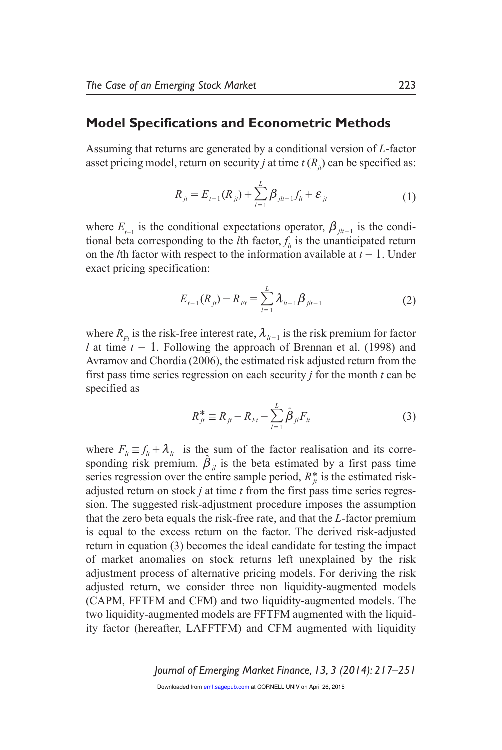### **Model Specifications and Econometric Methods**

Assuming that returns are generated by a conditional version of *L*-factor asset pricing model, return on security *j* at time  $t(R<sub>j</sub>)$  can be specified as:

$$
R_{jt} = E_{t-1}(R_{jt}) + \sum_{l=1}^{L} \beta_{jlt-1} f_{lt} + \varepsilon_{jt}
$$
\n(1)

where  $E_{t-1}$  is the conditional expectations operator,  $\beta_{j|t-1}$  is the conditional beta corresponding to the *l*<sup>th</sup> factor,  $f<sub>l</sub>$  is the unanticipated return on the *l*th factor with respect to the information available at  $t - 1$ . Under exact pricing specification:

$$
E_{t-1}(R_{jt}) - R_{Ft} = \sum_{l=1}^{L} \lambda_{lt-1} \beta_{jlt-1}
$$
 (2)

where  $R_{F_t}$  is the risk-free interest rate,  $\lambda_{h-1}$  is the risk premium for factor *l* at time  $t - 1$ . Following the approach of Brennan et al. (1998) and Avramov and Chordia (2006), the estimated risk adjusted return from the first pass time series regression on each security *j* for the month *t* can be specified as

$$
R_{jt}^* \equiv R_{jt} - R_{Ft} - \sum_{l=1}^{L} \hat{\beta}_{jl} F_{lt}
$$
 (3)

where  $F_{\mu} \equiv f_{\mu} + \lambda_{\mu}$  is the sum of the factor realisation and its corresponding risk premium.  $\hat{\beta}_{jl}$  is the beta estimated by a first pass time series regression over the entire sample period,  $R_t^*$  is the estimated riskadjusted return on stock *j* at time *t* from the first pass time series regression. The suggested risk-adjustment procedure imposes the assumption that the zero beta equals the risk-free rate, and that the *L*-factor premium is equal to the excess return on the factor. The derived risk-adjusted return in equation (3) becomes the ideal candidate for testing the impact of market anomalies on stock returns left unexplained by the risk adjustment process of alternative pricing models. For deriving the risk adjusted return, we consider three non liquidity-augmented models (CAPM, FFTFM and CFM) and two liquidity-augmented models. The two liquidity-augmented models are FFTFM augmented with the liquidity factor (hereafter, LAFFTFM) and CFM augmented with liquidity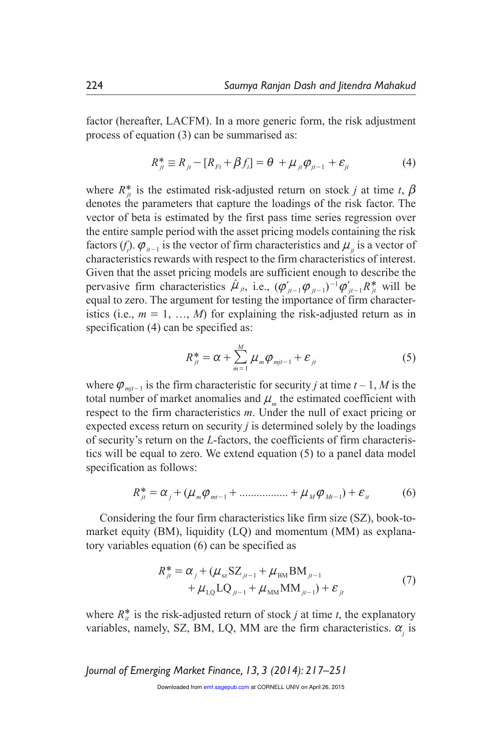factor (hereafter, LACFM). In a more generic form, the risk adjustment process of equation (3) can be summarised as:

$$
R_{ji}^* \equiv R_{ji} - [R_{Fi} + \beta f_i] = \theta + \mu_{ji} \varphi_{ji-1} + \varepsilon_{ji}
$$
(4)

where  $R^*_{it}$  is the estimated risk-adjusted return on stock *j* at time *t*,  $\beta$ denotes the parameters that capture the loadings of the risk factor. The vector of beta is estimated by the first pass time series regression over the entire sample period with the asset pricing models containing the risk factors (*f*<sub>*i*</sub>).  $\varphi$ <sub>*it*-1</sub> is the vector of firm characteristics and  $\mu$ <sub>*jt*</sub> is a vector of characteristics rewards with respect to the firm characteristics of interest. Given that the asset pricing models are sufficient enough to describe the pervasive firm characteristics  $\hat{\mu}_{jt}$ , i.e.,  $(\varphi'_{jt-1}\varphi_{jt-1})^{-1}\varphi'_{jt-1}R^*_{jt}$  will be equal to zero. The argument for testing the importance of firm characteristics (i.e.,  $m = 1, ..., M$ ) for explaining the risk-adjusted return as in specification (4) can be specified as:

$$
R_{jt}^* = \alpha + \sum_{m=1}^M \mu_m \varphi_{mjt-1} + \varepsilon_{jt}
$$
 (5)

where  $\varphi_{mjt-1}$  is the firm characteristic for security *j* at time  $t-1$ , *M* is the total number of market anomalies and  $\mu_m$  the estimated coefficient with respect to the firm characteristics *m*. Under the null of exact pricing or expected excess return on security *j* is determined solely by the loadings of security's return on the *L*-factors, the coefficients of firm characteristics will be equal to zero. We extend equation (5) to a panel data model specification as follows:

$$
R_{jt}^{*} = \alpha_j + (\mu_m \varphi_{mt-1} + \dots + \mu_M \varphi_{Mt-1}) + \varepsilon_{it}
$$
 (6)

Considering the four firm characteristics like firm size (SZ), book-tomarket equity (BM), liquidity (LQ) and momentum (MM) as explanatory variables equation (6) can be specified as

$$
R_{ji}^{*} = \alpha_{j} + (\mu_{sz} S Z_{ji-1} + \mu_{BM} B M_{ji-1} + \mu_{LQ} L Q_{ji-1} + \mu_{MM} M M_{ji-1}) + \varepsilon_{ji}
$$
\n(7)

where  $R^*_{ij}$  is the risk-adjusted return of stock *j* at time *t*, the explanatory variables, namely, SZ, BM, LQ, MM are the firm characteristics.  $\alpha_j$  is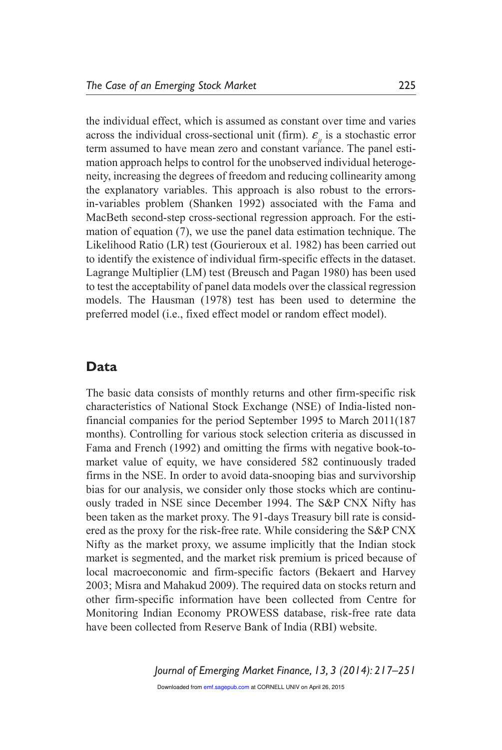the individual effect, which is assumed as constant over time and varies across the individual cross-sectional unit (firm).  $\mathcal{E}_i$  is a stochastic error term assumed to have mean zero and constant variance. The panel estimation approach helps to control for the unobserved individual heterogeneity, increasing the degrees of freedom and reducing collinearity among the explanatory variables. This approach is also robust to the errorsin-variables problem (Shanken 1992) associated with the Fama and MacBeth second-step cross-sectional regression approach. For the estimation of equation (7), we use the panel data estimation technique. The Likelihood Ratio (LR) test (Gourieroux et al. 1982) has been carried out to identify the existence of individual firm-specific effects in the dataset. Lagrange Multiplier (LM) test (Breusch and Pagan 1980) has been used to test the acceptability of panel data models over the classical regression models. The Hausman (1978) test has been used to determine the preferred model (i.e., fixed effect model or random effect model).

### **Data**

The basic data consists of monthly returns and other firm-specific risk characteristics of National Stock Exchange (NSE) of India-listed nonfinancial companies for the period September 1995 to March 2011(187 months). Controlling for various stock selection criteria as discussed in Fama and French (1992) and omitting the firms with negative book-tomarket value of equity, we have considered 582 continuously traded firms in the NSE. In order to avoid data-snooping bias and survivorship bias for our analysis, we consider only those stocks which are continuously traded in NSE since December 1994. The S&P CNX Nifty has been taken as the market proxy. The 91-days Treasury bill rate is considered as the proxy for the risk-free rate. While considering the S&P CNX Nifty as the market proxy, we assume implicitly that the Indian stock market is segmented, and the market risk premium is priced because of local macroeconomic and firm-specific factors (Bekaert and Harvey 2003; Misra and Mahakud 2009). The required data on stocks return and other firm-specific information have been collected from Centre for Monitoring Indian Economy PROWESS database, risk-free rate data have been collected from Reserve Bank of India (RBI) website.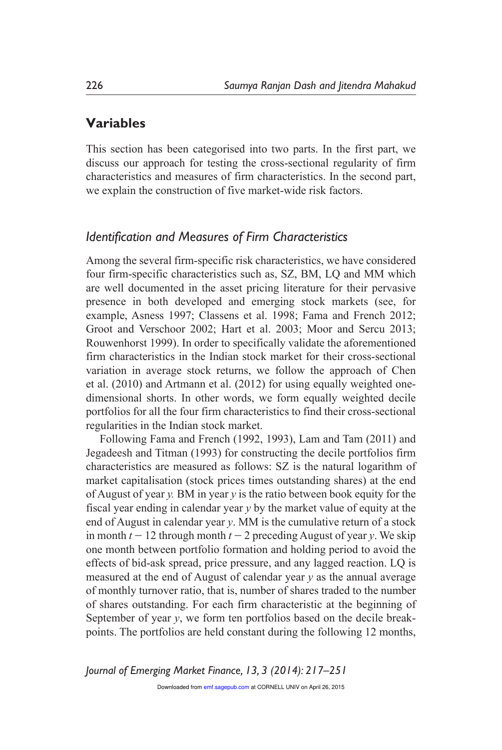## **Variables**

This section has been categorised into two parts. In the first part, we discuss our approach for testing the cross-sectional regularity of firm characteristics and measures of firm characteristics. In the second part, we explain the construction of five market-wide risk factors.

### *Identification and Measures of Firm Characteristics*

Among the several firm-specific risk characteristics, we have considered four firm-specific characteristics such as, SZ, BM, LQ and MM which are well documented in the asset pricing literature for their pervasive presence in both developed and emerging stock markets (see, for example, Asness 1997; Classens et al. 1998; Fama and French 2012; Groot and Verschoor 2002; Hart et al. 2003; Moor and Sercu 2013; Rouwenhorst 1999). In order to specifically validate the aforementioned firm characteristics in the Indian stock market for their cross-sectional variation in average stock returns, we follow the approach of Chen et al. (2010) and Artmann et al. (2012) for using equally weighted onedimensional shorts. In other words, we form equally weighted decile portfolios for all the four firm characteristics to find their cross-sectional regularities in the Indian stock market.

Following Fama and French (1992, 1993), Lam and Tam (2011) and Jegadeesh and Titman (1993) for constructing the decile portfolios firm characteristics are measured as follows: SZ is the natural logarithm of market capitalisation (stock prices times outstanding shares) at the end of August of year *y.* BM in year *y* is the ratio between book equity for the fiscal year ending in calendar year *y* by the market value of equity at the end of August in calendar year *y*. MM is the cumulative return of a stock in month  $t - 12$  through month  $t - 2$  preceding August of year *y*. We skip one month between portfolio formation and holding period to avoid the effects of bid-ask spread, price pressure, and any lagged reaction. LQ is measured at the end of August of calendar year *y* as the annual average of monthly turnover ratio, that is, number of shares traded to the number of shares outstanding. For each firm characteristic at the beginning of September of year *y*, we form ten portfolios based on the decile breakpoints. The portfolios are held constant during the following 12 months,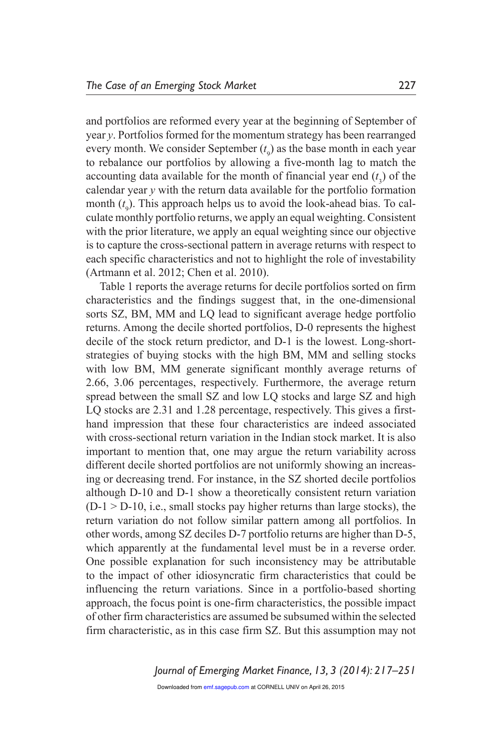and portfolios are reformed every year at the beginning of September of year *y*. Portfolios formed for the momentum strategy has been rearranged every month. We consider September  $(t<sub>9</sub>)$  as the base month in each year to rebalance our portfolios by allowing a five-month lag to match the accounting data available for the month of financial year end  $(t_1)$  of the  $\alpha$ <sup>3</sup> calendar year *y* with the return data available for the portfolio formation month (*t* ). This approach helps us to avoid the look-ahead bias. To calextraction of the superior of the constant of the constant of the constant constant consistent culate monthly portfolio returns, we apply an equal weighting. Consistent with the prior literature, we apply an equal weighting since our objective is to capture the cross-sectional pattern in average returns with respect to each specific characteristics and not to highlight the role of investability (Artmann et al. 2012; Chen et al. 2010).

Table 1 reports the average returns for decile portfolios sorted on firm characteristics and the findings suggest that, in the one-dimensional sorts SZ, BM, MM and LQ lead to significant average hedge portfolio returns. Among the decile shorted portfolios, D-0 represents the highest decile of the stock return predictor, and D-1 is the lowest. Long-shortstrategies of buying stocks with the high BM, MM and selling stocks with low BM, MM generate significant monthly average returns of 2.66, 3.06 percentages, respectively. Furthermore, the average return spread between the small SZ and low LQ stocks and large SZ and high LQ stocks are 2.31 and 1.28 percentage, respectively. This gives a firsthand impression that these four characteristics are indeed associated with cross-sectional return variation in the Indian stock market. It is also important to mention that, one may argue the return variability across different decile shorted portfolios are not uniformly showing an increasing or decreasing trend. For instance, in the SZ shorted decile portfolios although D-10 and D-1 show a theoretically consistent return variation  $(D-1 > D-10, i.e., small stocks pay higher returns than large stocks), the$ return variation do not follow similar pattern among all portfolios. In other words, among SZ deciles D-7 portfolio returns are higher than D-5, which apparently at the fundamental level must be in a reverse order. One possible explanation for such inconsistency may be attributable to the impact of other idiosyncratic firm characteristics that could be influencing the return variations. Since in a portfolio-based shorting approach, the focus point is one-firm characteristics, the possible impact of other firm characteristics are assumed be subsumed within the selected firm characteristic, as in this case firm SZ. But this assumption may not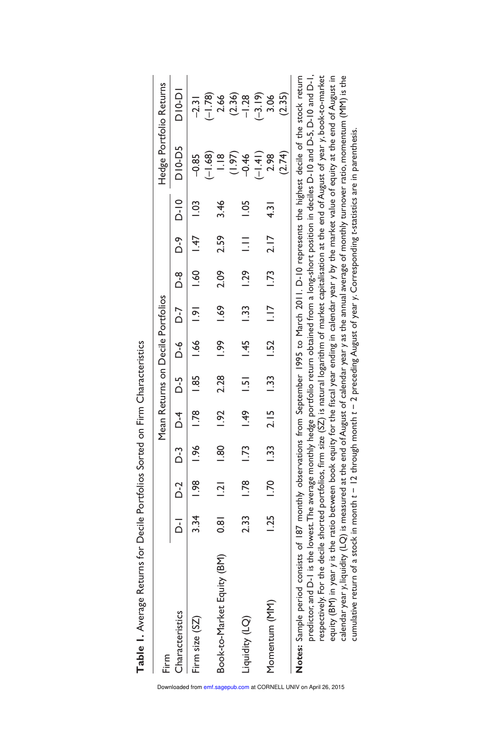| Firm                                                                                                                                                                                                                                                                                                                                                                                                                                                                                                                                                                                                                                                                                                                                                                                                                                                                                                                                                     |       |                |             |       |                         |             |                                   |      |            |               |                            |                         |
|----------------------------------------------------------------------------------------------------------------------------------------------------------------------------------------------------------------------------------------------------------------------------------------------------------------------------------------------------------------------------------------------------------------------------------------------------------------------------------------------------------------------------------------------------------------------------------------------------------------------------------------------------------------------------------------------------------------------------------------------------------------------------------------------------------------------------------------------------------------------------------------------------------------------------------------------------------|-------|----------------|-------------|-------|-------------------------|-------------|-----------------------------------|------|------------|---------------|----------------------------|-------------------------|
|                                                                                                                                                                                                                                                                                                                                                                                                                                                                                                                                                                                                                                                                                                                                                                                                                                                                                                                                                          |       |                |             |       |                         |             | Mean Returns on Decile Portfolios |      |            |               |                            | Hedge Portfolio Returns |
| Characteristics                                                                                                                                                                                                                                                                                                                                                                                                                                                                                                                                                                                                                                                                                                                                                                                                                                                                                                                                          | $D-1$ |                |             |       | $D-3$ $D-4$ $D-5$ $D-6$ |             | D-7                               |      | D-9<br>D-8 | $D-10$        | D10-D5                     | <b>D10-D1</b>           |
| 3.34<br>Firm size (SZ)                                                                                                                                                                                                                                                                                                                                                                                                                                                                                                                                                                                                                                                                                                                                                                                                                                                                                                                                   |       | $\frac{8}{10}$ | $-96$       | 1.78  | $\frac{85}{2}$          | $-66$       | $\frac{1}{2}$                     |      | 1.60 1.47  | 1.03          | $-0.85$                    | $-2.31$                 |
| $\frac{8}{3}$<br>Book-to-Market Equity (BM)                                                                                                                                                                                                                                                                                                                                                                                                                                                                                                                                                                                                                                                                                                                                                                                                                                                                                                              |       | 2              | 1.80        | 1.92  | 2.28                    | 1.99        | $-1.69$                           | 2.09 | 2.59       | 3.46          | $(-1.68)$<br>$\frac{8}{1}$ | $(-1.78)$<br>2.66       |
| 2.33<br>(O) Aipinbri                                                                                                                                                                                                                                                                                                                                                                                                                                                                                                                                                                                                                                                                                                                                                                                                                                                                                                                                     |       | 1.78           | <b>1.73</b> | $-49$ | $\overline{5}$          | 1.45        | 1.33                              | 1.29 | $\equiv$   | $-1.05$       | (1.97)<br>$-0.46$          | (2.36)<br>$-1.28$       |
| 1.25<br>Momentum (MM)                                                                                                                                                                                                                                                                                                                                                                                                                                                                                                                                                                                                                                                                                                                                                                                                                                                                                                                                    |       | $-1.70$        | 1.33        | 2.15  | $\frac{33}{2}$          | <b>1.52</b> | $\frac{1}{2}$                     | 1.73 | 2.17       | $\frac{1}{3}$ | $(-1.41)$<br>2.98          | $(-3.19)$<br>3.06       |
|                                                                                                                                                                                                                                                                                                                                                                                                                                                                                                                                                                                                                                                                                                                                                                                                                                                                                                                                                          |       |                |             |       |                         |             |                                   |      |            |               | (2.74)                     | (2.35)                  |
| predictor, and D-1 is the lowest. The average monthly hedge portfolio return obtained from a long-short position in deciles D-10 and D-5, D-10 and D-1,<br>calendar year y, liquidity (LQ) is measured at the end of August of calendar year y as the annual average of monthly turnover ratio, momentum (MM) is the<br>respectively. For the decile shorted portfolios, firm size (SZ) is natural logarithm of market capitalisation at the end of August of year y, book-to-market<br>Notes: Sample period consists of 187 monthly observations from September 1995 to March 2011. D-10 represents the highest decile of the stock return<br>equity (BM) in year y is the ratio between book equity for the fiscal year ending in calendar year y by the market value of equity at the end of August in<br>cumulative return of a stock in month t – 12 through month t – 2 preceding August of year y. Corresponding t-statistics are in parenthesis. |       |                |             |       |                         |             |                                   |      |            |               |                            |                         |

Table 1. Average Returns for Decile Portfolios Sorted on Firm Characteristics **Table 1.** Average Returns for Decile Portfolios Sorted on Firm Characteristics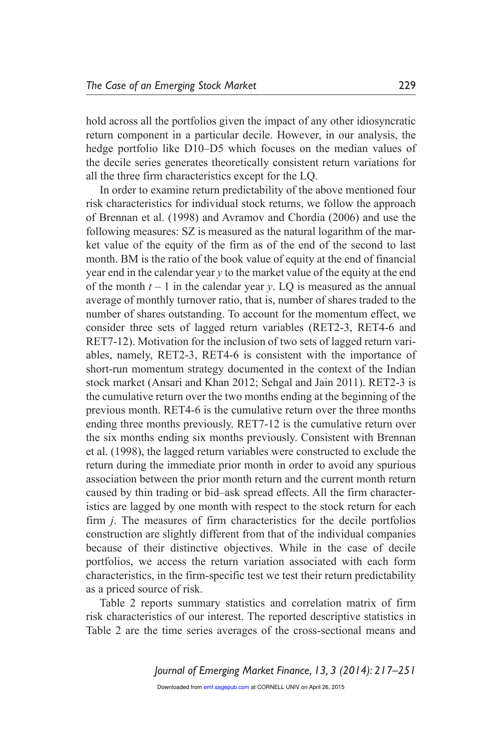hold across all the portfolios given the impact of any other idiosyncratic return component in a particular decile. However, in our analysis, the hedge portfolio like D10–D5 which focuses on the median values of the decile series generates theoretically consistent return variations for all the three firm characteristics except for the LQ.

In order to examine return predictability of the above mentioned four risk characteristics for individual stock returns, we follow the approach of Brennan et al. (1998) and Avramov and Chordia (2006) and use the following measures: SZ is measured as the natural logarithm of the market value of the equity of the firm as of the end of the second to last month. BM is the ratio of the book value of equity at the end of financial year end in the calendar year *y* to the market value of the equity at the end of the month  $t - 1$  in the calendar year  $y$ . LQ is measured as the annual average of monthly turnover ratio, that is, number of shares traded to the number of shares outstanding. To account for the momentum effect, we consider three sets of lagged return variables (RET2-3, RET4-6 and RET7-12). Motivation for the inclusion of two sets of lagged return variables, namely, RET2-3, RET4-6 is consistent with the importance of short-run momentum strategy documented in the context of the Indian stock market (Ansari and Khan 2012; Sehgal and Jain 2011). RET2-3 is the cumulative return over the two months ending at the beginning of the previous month. RET4-6 is the cumulative return over the three months ending three months previously. RET7-12 is the cumulative return over the six months ending six months previously. Consistent with Brennan et al. (1998), the lagged return variables were constructed to exclude the return during the immediate prior month in order to avoid any spurious association between the prior month return and the current month return caused by thin trading or bid–ask spread effects. All the firm characteristics are lagged by one month with respect to the stock return for each firm *j*. The measures of firm characteristics for the decile portfolios construction are slightly different from that of the individual companies because of their distinctive objectives. While in the case of decile portfolios, we access the return variation associated with each form characteristics, in the firm-specific test we test their return predictability as a priced source of risk.

Table 2 reports summary statistics and correlation matrix of firm risk characteristics of our interest. The reported descriptive statistics in Table 2 are the time series averages of the cross-sectional means and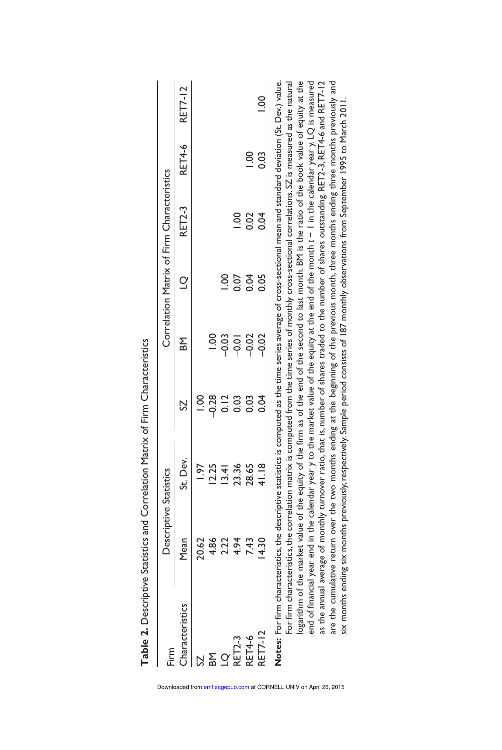| Firm            |       | Descriptive Statistics                                                                                                                                                                                                                                                                                                                 |      |           |             | Correlation Matrix of Firm Characteristics |        |                |
|-----------------|-------|----------------------------------------------------------------------------------------------------------------------------------------------------------------------------------------------------------------------------------------------------------------------------------------------------------------------------------------|------|-----------|-------------|--------------------------------------------|--------|----------------|
| Characteristics | Mean  | St. Dev.                                                                                                                                                                                                                                                                                                                               |      | <b>MB</b> | $\supseteq$ | <b>RET2-3</b>                              | RET4-6 | <b>RET7-12</b> |
| 2S              | 20.62 | $\frac{1}{2}$                                                                                                                                                                                                                                                                                                                          |      |           |             |                                            |        |                |
| <b>BM</b>       | 4.86  | 12.25                                                                                                                                                                                                                                                                                                                                  | 0.28 | <u>ខ</u>  |             |                                            |        |                |
| $\overline{O}$  | 2.22  | 13.41                                                                                                                                                                                                                                                                                                                                  | 0.12 | $-0.03$   |             |                                            |        |                |
| <b>RET2-3</b>   | 4.94  | 23.36                                                                                                                                                                                                                                                                                                                                  | 0.03 | $-0.01$   | 0.07        | 8<br>c                                     |        |                |
| RET4-6          | 7.43  | 28.65                                                                                                                                                                                                                                                                                                                                  | 0.03 | $-0.02$   | 0.04        | 0.02                                       | 8<br>S |                |
| RET7-12         | 4.30  | 41.18                                                                                                                                                                                                                                                                                                                                  | 0.04 | $-0.02$   | 0.05        | 0.04                                       | 0.03   |                |
|                 |       | <b>Notes:</b> For firm characteristics, the descriptive statistics is computed as the time series average of cross-sectional mean and standard deviation (St. Dev.) value.<br>For firm characteristics, the correlation matrix is computed from the time series of monthly cross-sectional correlations. SZ is measured as the natural |      |           |             |                                            |        |                |
|                 |       | logarithm of the market value of the equity of the firm as of the end of the second to last month. BM is the ratio of the book value of equity at the<br>end of financial year end in the calendar year y to the market value of the equity at the end of the month t – I in the calendar year y. LQ is measured                       |      |           |             |                                            |        |                |

as the annual average of monthly turnover ratio, that is, number of shares traded to the number of shares outstanding. RET2-3, RET4-6 and RET7-12 are the cumulative return over the two months ending at the beginning of the previous month, three months ending three months previously and six months ending six months previously, respectively. Sample period consists of 187 monthly observations from September 1995 to March 2011.

as the annual average of monthly turnover ratio, that is, number of shares traded to the number of shares outstanding. RET2-3, RET4-6 and RET7-12 are the cumulative return over the two months ending at the beginning of the previous month, three months ending three months previously and six months ending six months previously, respectively. Sample period consists of 187 monthly observations from September 1995 to March 2011.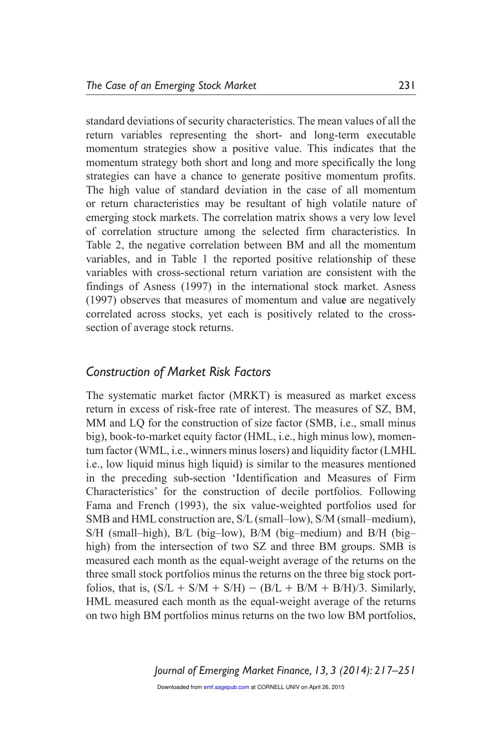standard deviations of security characteristics. The mean values of all the return variables representing the short- and long-term executable momentum strategies show a positive value. This indicates that the momentum strategy both short and long and more specifically the long strategies can have a chance to generate positive momentum profits. The high value of standard deviation in the case of all momentum or return characteristics may be resultant of high volatile nature of emerging stock markets. The correlation matrix shows a very low level of correlation structure among the selected firm characteristics. In Table 2, the negative correlation between BM and all the momentum variables, and in Table 1 the reported positive relationship of these variables with cross-sectional return variation are consistent with the findings of Asness (1997) in the international stock market. Asness (1997) observes that measures of momentum and valu**e** are negatively correlated across stocks, yet each is positively related to the crosssection of average stock returns.

### *Construction of Market Risk Factors*

The systematic market factor (MRKT) is measured as market excess return in excess of risk-free rate of interest. The measures of SZ, BM, MM and LQ for the construction of size factor (SMB, i.e., small minus big), book-to-market equity factor (HML, i.e., high minus low), momentum factor (WML, i.e., winners minus losers) and liquidity factor (LMHL i.e., low liquid minus high liquid) is similar to the measures mentioned in the preceding sub-section 'Identification and Measures of Firm Characteristics' for the construction of decile portfolios. Following Fama and French (1993), the six value-weighted portfolios used for SMB and HML construction are, S/L (small–low), S/M (small–medium), S/H (small–high), B/L (big–low), B/M (big–medium) and B/H (big– high) from the intersection of two SZ and three BM groups. SMB is measured each month as the equal-weight average of the returns on the three small stock portfolios minus the returns on the three big stock portfolios, that is,  $(S/L + S/M + S/H) - (B/L + B/M + B/H)/3$ . Similarly, HML measured each month as the equal-weight average of the returns on two high BM portfolios minus returns on the two low BM portfolios,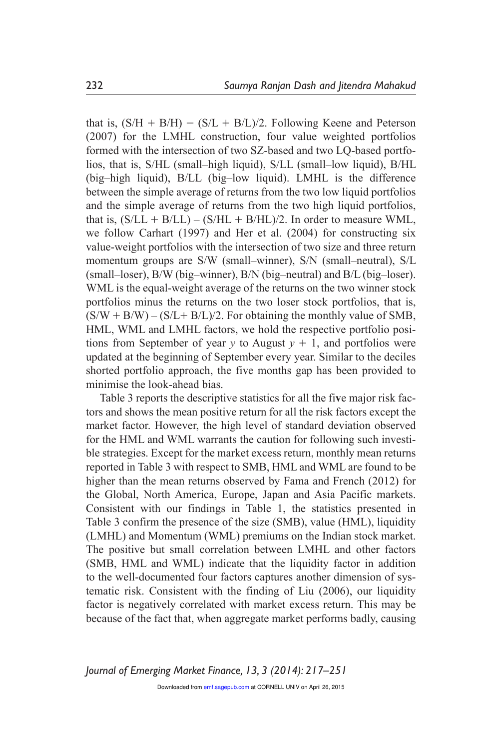that is,  $(S/H + B/H) - (S/L + B/L)/2$ . Following Keene and Peterson (2007) for the LMHL construction, four value weighted portfolios formed with the intersection of two SZ-based and two LQ-based portfolios, that is, S/HL (small–high liquid), S/LL (small–low liquid), B/HL (big–high liquid), B/LL (big–low liquid). LMHL is the difference between the simple average of returns from the two low liquid portfolios and the simple average of returns from the two high liquid portfolios, that is,  $(S/LL + B/LL) - (S/HL + B/HL)/2$ . In order to measure WML, we follow Carhart (1997) and Her et al. (2004) for constructing six value-weight portfolios with the intersection of two size and three return momentum groups are S/W (small–winner), S/N (small–neutral), S/L (small–loser), B/W (big–winner), B/N (big–neutral) and B/L (big–loser). WML is the equal-weight average of the returns on the two winner stock portfolios minus the returns on the two loser stock portfolios, that is,  $(S/W + B/W) - (S/L + B/L)/2$ . For obtaining the monthly value of SMB, HML, WML and LMHL factors, we hold the respective portfolio positions from September of year *y* to August  $y + 1$ , and portfolios were updated at the beginning of September every year. Similar to the deciles shorted portfolio approach, the five months gap has been provided to minimise the look-ahead bias.

Table 3 reports the descriptive statistics for all the fi**v**e major risk factors and shows the mean positive return for all the risk factors except the market factor. However, the high level of standard deviation observed for the HML and WML warrants the caution for following such investible strategies. Except for the market excess return, monthly mean returns reported in Table 3 with respect to SMB, HML and WML are found to be higher than the mean returns observed by Fama and French (2012) for the Global, North America, Europe, Japan and Asia Pacific markets. Consistent with our findings in Table 1, the statistics presented in Table 3 confirm the presence of the size (SMB), value (HML), liquidity (LMHL) and Momentum (WML) premiums on the Indian stock market. The positive but small correlation between LMHL and other factors (SMB, HML and WML) indicate that the liquidity factor in addition to the well-documented four factors captures another dimension of systematic risk. Consistent with the finding of Liu (2006), our liquidity factor is negatively correlated with market excess return. This may be because of the fact that, when aggregate market performs badly, causing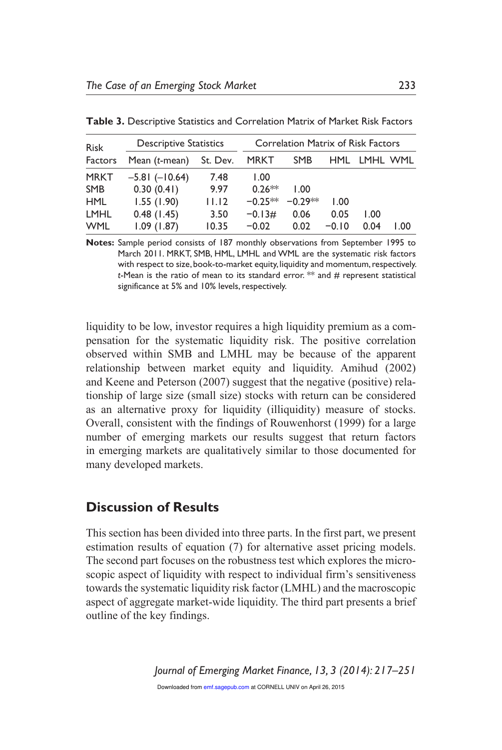| <b>Risk</b> | <b>Descriptive Statistics</b> |          |             | <b>Correlation Matrix of Risk Factors</b> |         |          |     |
|-------------|-------------------------------|----------|-------------|-------------------------------------------|---------|----------|-----|
| Factors     | Mean $(t$ -mean $)$           | St. Dev. | <b>MRKT</b> | <b>SMB</b>                                | HML.    | LMHL WML |     |
| <b>MRKT</b> | $-5.81(-10.64)$               | 7.48     | 1.00        |                                           |         |          |     |
| <b>SMB</b>  | 0.30(0.41)                    | 9.97     | $0.26**$    | 1.00                                      |         |          |     |
| <b>HML</b>  | 1.55(1.90)                    | 11.12    | $-0.25**$   | $-0.29**$                                 | 1.00    |          |     |
| <b>LMHL</b> | 0.48(1.45)                    | 3.50     | $-0.13#$    | 0.06                                      | 0.05    | 1.00     |     |
| <b>WML</b>  | 1.09(1.87)                    | 10.35    | $-0.02$     | 0.02                                      | $-0.10$ | 0.04     | .00 |

**Table 3.** Descriptive Statistics and Correlation Matrix of Market Risk Factors

**Notes:** Sample period consists of 187 monthly observations from September 1995 to March 2011. MRKT, SMB, HML, LMHL and WML are the systematic risk factors with respect to size, book-to-market equity, liquidity and momentum, respectively. *t*-Mean is the ratio of mean to its standard error. \*\* and # represent statistical significance at 5% and 10% levels, respectively.

liquidity to be low, investor requires a high liquidity premium as a compensation for the systematic liquidity risk. The positive correlation observed within SMB and LMHL may be because of the apparent relationship between market equity and liquidity. Amihud (2002) and Keene and Peterson (2007) suggest that the negative (positive) relationship of large size (small size) stocks with return can be considered as an alternative proxy for liquidity (illiquidity) measure of stocks. Overall, consistent with the findings of Rouwenhorst (1999) for a large number of emerging markets our results suggest that return factors in emerging markets are qualitatively similar to those documented for many developed markets.

### **Discussion of Results**

This section has been divided into three parts. In the first part, we present estimation results of equation (7) for alternative asset pricing models. The second part focuses on the robustness test which explores the microscopic aspect of liquidity with respect to individual firm's sensitiveness towards the systematic liquidity risk factor (LMHL) and the macroscopic aspect of aggregate market-wide liquidity. The third part presents a brief outline of the key findings.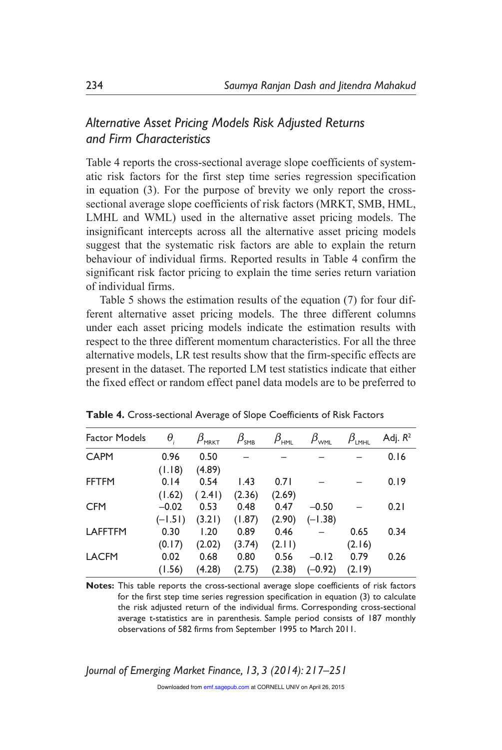# *Alternative Asset Pricing Models Risk Adjusted Returns and Firm Characteristics*

Table 4 reports the cross-sectional average slope coefficients of systematic risk factors for the first step time series regression specification in equation (3). For the purpose of brevity we only report the crosssectional average slope coefficients of risk factors (MRKT, SMB, HML, LMHL and WML) used in the alternative asset pricing models. The insignificant intercepts across all the alternative asset pricing models suggest that the systematic risk factors are able to explain the return behaviour of individual firms. Reported results in Table 4 confirm the significant risk factor pricing to explain the time series return variation of individual firms.

Table 5 shows the estimation results of the equation (7) for four different alternative asset pricing models. The three different columns under each asset pricing models indicate the estimation results with respect to the three different momentum characteristics. For all the three alternative models, LR test results show that the firm-specific effects are present in the dataset. The reported LM test statistics indicate that either the fixed effect or random effect panel data models are to be preferred to

| <b>Factor Models</b> | $\theta_{i}$ | $\beta_{\tiny \textsf{MRKT}}$ | $\beta_{_{\sf SMB}}$ | $\beta_{\scriptscriptstyle\rm HML}$ | $\beta_{\tiny\textsf{WML}}$ | $\beta_{\text{\tiny LMHL}}$ | Adj. $R^2$ |
|----------------------|--------------|-------------------------------|----------------------|-------------------------------------|-----------------------------|-----------------------------|------------|
| <b>CAPM</b>          | 0.96         | 0.50                          |                      |                                     |                             |                             | 0.16       |
|                      | (1.18)       | (4.89)                        |                      |                                     |                             |                             |            |
| <b>FFTFM</b>         | 0.14         | 0.54                          | 1.43                 | 0.71                                |                             |                             | 0.19       |
|                      | (1.62)       | (2.41)                        | (2.36)               | (2.69)                              |                             |                             |            |
| <b>CFM</b>           | $-0.02$      | 0.53                          | 0.48                 | 0.47                                | $-0.50$                     |                             | 0.21       |
|                      | $(-1.51)$    | (3.21)                        | (1.87)               | (2.90)                              | $(-1.38)$                   |                             |            |
| <b>LAFFTFM</b>       | 0.30         | 1.20                          | 0.89                 | 0.46                                |                             | 0.65                        | 0.34       |
|                      | (0.17)       | (2.02)                        | (3.74)               | (2.11)                              |                             | (2.16)                      |            |
| <b>LACFM</b>         | 0.02         | 0.68                          | 0.80                 | 0.56                                | $-0.12$                     | 0.79                        | 0.26       |
|                      | (1.56)       | (4.28)                        | (2.75)               | (2.38)                              | $(-0.92)$                   | (2.19)                      |            |
|                      |              |                               |                      |                                     |                             |                             |            |

**Table 4.** Cross-sectional Average of Slope Coefficients of Risk Factors

**Notes:** This table reports the cross-sectional average slope coefficients of risk factors for the first step time series regression specification in equation (3) to calculate the risk adjusted return of the individual firms. Corresponding cross-sectional average t-statistics are in parenthesis. Sample period consists of 187 monthly observations of 582 firms from September 1995 to March 2011.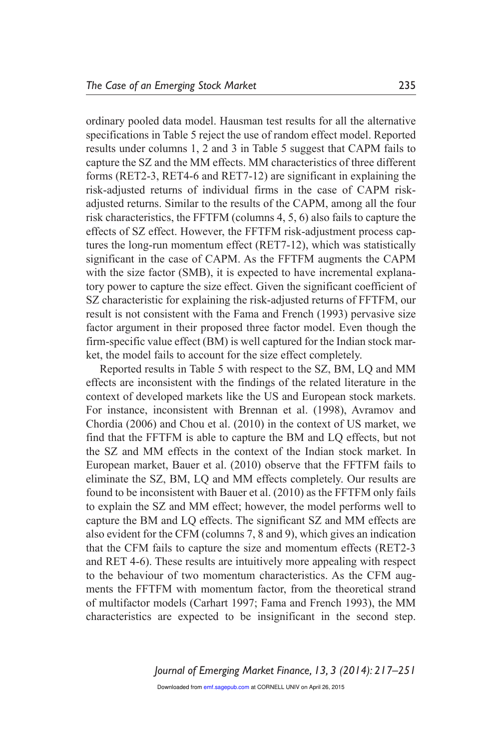ordinary pooled data model. Hausman test results for all the alternative specifications in Table 5 reject the use of random effect model. Reported results under columns 1, 2 and 3 in Table 5 suggest that CAPM fails to capture the SZ and the MM effects. MM characteristics of three different forms (RET2-3, RET4-6 and RET7-12) are significant in explaining the risk-adjusted returns of individual firms in the case of CAPM riskadjusted returns. Similar to the results of the CAPM, among all the four risk characteristics, the FFTFM (columns 4, 5, 6) also fails to capture the effects of SZ effect. However, the FFTFM risk-adjustment process captures the long-run momentum effect (RET7-12), which was statistically significant in the case of CAPM. As the FFTFM augments the CAPM with the size factor (SMB), it is expected to have incremental explanatory power to capture the size effect. Given the significant coefficient of SZ characteristic for explaining the risk-adjusted returns of FFTFM, our result is not consistent with the Fama and French (1993) pervasive size factor argument in their proposed three factor model. Even though the firm-specific value effect (BM) is well captured for the Indian stock market, the model fails to account for the size effect completely.

Reported results in Table 5 with respect to the SZ, BM, LQ and MM effects are inconsistent with the findings of the related literature in the context of developed markets like the US and European stock markets. For instance, inconsistent with Brennan et al. (1998), Avramov and Chordia (2006) and Chou et al. (2010) in the context of US market, we find that the FFTFM is able to capture the BM and LQ effects, but not the SZ and MM effects in the context of the Indian stock market. In European market, Bauer et al. (2010) observe that the FFTFM fails to eliminate the SZ, BM, LQ and MM effects completely. Our results are found to be inconsistent with Bauer et al. (2010) as the FFTFM only fails to explain the SZ and MM effect; however, the model performs well to capture the BM and LQ effects. The significant SZ and MM effects are also evident for the CFM (columns 7, 8 and 9), which gives an indication that the CFM fails to capture the size and momentum effects (RET2-3 and RET 4-6). These results are intuitively more appealing with respect to the behaviour of two momentum characteristics. As the CFM augments the FFTFM with momentum factor, from the theoretical strand of multifactor models (Carhart 1997; Fama and French 1993), the MM characteristics are expected to be insignificant in the second step.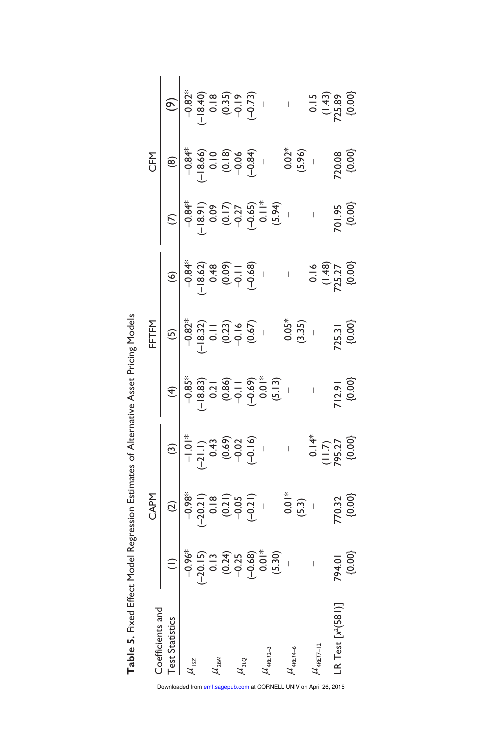Table 5. Fixed Effect Model Regression Estimates of Alternative Asset Pricing Models **Table 5.** Fixed Effect Model Regression Estimates of Alternative Asset Pricing Models

| Coefficients and              |                                                                                                                                                                                                                                                                                                                                                                                                         |                                                                                                                                                                                                                                                                                                                                                   |                                                                                                                                                                                                                                                                                                                                                                                                       |                                                                                                                                         |                                                                                                                                                                                                                                                                            |        |                                                                                                                                                                                                                                                                                                                                                                                                                       |                                                                                                                                                                                                                                                 |
|-------------------------------|---------------------------------------------------------------------------------------------------------------------------------------------------------------------------------------------------------------------------------------------------------------------------------------------------------------------------------------------------------------------------------------------------------|---------------------------------------------------------------------------------------------------------------------------------------------------------------------------------------------------------------------------------------------------------------------------------------------------------------------------------------------------|-------------------------------------------------------------------------------------------------------------------------------------------------------------------------------------------------------------------------------------------------------------------------------------------------------------------------------------------------------------------------------------------------------|-----------------------------------------------------------------------------------------------------------------------------------------|----------------------------------------------------------------------------------------------------------------------------------------------------------------------------------------------------------------------------------------------------------------------------|--------|-----------------------------------------------------------------------------------------------------------------------------------------------------------------------------------------------------------------------------------------------------------------------------------------------------------------------------------------------------------------------------------------------------------------------|-------------------------------------------------------------------------------------------------------------------------------------------------------------------------------------------------------------------------------------------------|
| <b>Test Statistics</b>        |                                                                                                                                                                                                                                                                                                                                                                                                         | CAPN<br>$\begin{bmatrix} 2 \\ 2 \\ -9.88^* \\ -20.21 \\ -9.05 \\ -9.05 \\ -9.05 \\ -9.05 \\ -9.05 \\ -9.05 \\ -9.05 \\ -9.05 \\ -9.05 \\ -9.05 \\ -9.05 \\ -9.05 \\ -9.05 \\ -9.05 \\ -9.05 \\ -9.05 \\ -9.05 \\ -9.05 \\ -9.05 \\ -9.05 \\ -9.05 \\ -9.05 \\ -9.05 \\ -9.05 \\ -9.05 \\ -9.05 \\ -9.05 \\ -9.05 \\ -9.05 \\ -9.05 \\ -9.05 \\ -$ | (3)<br>$\begin{array}{c cc}\n\frac{1}{2} & \frac{1}{2} & \frac{1}{2} \\ \hline\n-1 & -1 & -1 & -1 \\ -2 & -1 & -1 & -1 \\ -1 & -1 & -1 & -1 \\ -1 & -1 & -1 & -1 \\ -1 & -1 & -1 & -1 \\ -1 & -1 & -1 & -1 \\ -1 & -1 & -1 & -1 \\ -1 & -1 & -1 & -1 \\ -1 & -1 & -1 & -1 \\ -1 & -1 & -1 & -1 \\ -1 & -1 & -1 & -1 \\ -1 & -1 & -1 & -1 \\ -1 & -1 & -1 & -1 \\ -1 & -1 & -1 & -1 \\ -1 & -1 & -1 &$ | (4)<br>$-6.85^*$<br>$-6.85$<br>$-18.86$<br>$-18.86$<br>$-19.21$<br>$-19.29$<br>$-19.29$<br>$-19.29$<br>$-12.91$<br>$-12.91$<br>$-12.91$ | (6)<br>$-8.33$<br>$-18.62$<br>$-18.62$<br>$-18.62$<br>$-18.62$<br>$-18.62$<br>$-18.62$<br>$-18.62$<br>$-18.62$<br>$-18.62$<br>$-18.62$<br>$-18.62$<br>$-18.62$<br>$-18.62$<br>$-18.62$<br>$-18.62$<br>$-18.62$<br>$-18.62$<br>$-18.62$<br>$-18.62$<br>$-18.62$<br>$-18.62$ |        | CFM<br>$\begin{bmatrix} 0 \\ 0 \\ -0.84\% \\ -0.84\% \\ 0.00 \\ 0.009 \end{bmatrix}$<br>$\begin{bmatrix} 0 \\ 0 \\ 0 \\ 0 \\ 0 \end{bmatrix}$<br>$\begin{bmatrix} 0 \\ 0 \\ 0 \\ 0 \\ 0 \end{bmatrix}$<br>$\begin{bmatrix} 0 \\ 0 \\ 0 \\ 0 \\ 0 \end{bmatrix}$<br>$\begin{bmatrix} 0 \\ 0 \\ 0 \\ 0 \\ 0 \end{bmatrix}$<br>$\begin{bmatrix} 0 \\ 0 \\ 0 \\ 0 \\ 0 \end{bmatrix}$<br>$\begin{bmatrix} 0 \\ 0 \\ 0 \\$ | (9)<br>$(3, 4)$<br>$(-18, 4)$<br>$(-18, 4)$<br>$(-18, 4)$<br>$(-18, 4)$<br>$(-18, 4)$<br>$(-18, 4)$<br>$(-18, 4)$<br>$(-18, 4)$<br>$(-18, 4)$<br>$(-18, 4)$<br>$(-18, 4)$<br>$(-18, 4)$<br>$(-18, 4)$<br>$(-18, 4)$<br>$(-18, 4)$<br>$(-18, 4)$ |
| $\mu_{15Z}$                   | $\begin{array}{r} (1) \\ (2) \\ (3) \\ (4) \\ (5) \\ (6) \\ (7) \\ (8) \\ (9) \\ (1) \\ (1) \\ (1) \\ (2) \\ (3) \\ (4) \\ (5) \\ (6) \\ (7) \\ (8) \\ (9) \\ (1) \\ (1) \\ (1) \\ (2) \\ (3) \\ (4) \\ (5) \\ (5) \\ (9) \\ (1) \\ (1) \\ (2) \\ (3) \\ (4) \\ (5) \\ (5) \\ (6) \\ (7) \\ (9) \\ (1) \\ (1) \\ (1) \\ (2) \\ (3) \\ (4) \\ (5) \\ (5) \\ (6) \\ (7) \\ (9) \\ (1) \\ (1) \\ (1) \\ ($ |                                                                                                                                                                                                                                                                                                                                                   |                                                                                                                                                                                                                                                                                                                                                                                                       |                                                                                                                                         |                                                                                                                                                                                                                                                                            |        |                                                                                                                                                                                                                                                                                                                                                                                                                       |                                                                                                                                                                                                                                                 |
|                               |                                                                                                                                                                                                                                                                                                                                                                                                         |                                                                                                                                                                                                                                                                                                                                                   |                                                                                                                                                                                                                                                                                                                                                                                                       |                                                                                                                                         |                                                                                                                                                                                                                                                                            |        |                                                                                                                                                                                                                                                                                                                                                                                                                       |                                                                                                                                                                                                                                                 |
| $\mu_{2BM}$                   |                                                                                                                                                                                                                                                                                                                                                                                                         |                                                                                                                                                                                                                                                                                                                                                   |                                                                                                                                                                                                                                                                                                                                                                                                       |                                                                                                                                         |                                                                                                                                                                                                                                                                            |        |                                                                                                                                                                                                                                                                                                                                                                                                                       |                                                                                                                                                                                                                                                 |
|                               |                                                                                                                                                                                                                                                                                                                                                                                                         |                                                                                                                                                                                                                                                                                                                                                   |                                                                                                                                                                                                                                                                                                                                                                                                       |                                                                                                                                         |                                                                                                                                                                                                                                                                            |        |                                                                                                                                                                                                                                                                                                                                                                                                                       |                                                                                                                                                                                                                                                 |
| $\mu_{3LQ}$                   |                                                                                                                                                                                                                                                                                                                                                                                                         |                                                                                                                                                                                                                                                                                                                                                   |                                                                                                                                                                                                                                                                                                                                                                                                       |                                                                                                                                         |                                                                                                                                                                                                                                                                            |        |                                                                                                                                                                                                                                                                                                                                                                                                                       |                                                                                                                                                                                                                                                 |
|                               |                                                                                                                                                                                                                                                                                                                                                                                                         |                                                                                                                                                                                                                                                                                                                                                   |                                                                                                                                                                                                                                                                                                                                                                                                       |                                                                                                                                         |                                                                                                                                                                                                                                                                            |        |                                                                                                                                                                                                                                                                                                                                                                                                                       |                                                                                                                                                                                                                                                 |
| $t_{4RET2-3}$                 |                                                                                                                                                                                                                                                                                                                                                                                                         |                                                                                                                                                                                                                                                                                                                                                   |                                                                                                                                                                                                                                                                                                                                                                                                       |                                                                                                                                         |                                                                                                                                                                                                                                                                            |        |                                                                                                                                                                                                                                                                                                                                                                                                                       |                                                                                                                                                                                                                                                 |
|                               |                                                                                                                                                                                                                                                                                                                                                                                                         |                                                                                                                                                                                                                                                                                                                                                   |                                                                                                                                                                                                                                                                                                                                                                                                       |                                                                                                                                         |                                                                                                                                                                                                                                                                            |        |                                                                                                                                                                                                                                                                                                                                                                                                                       |                                                                                                                                                                                                                                                 |
| $t_{4RET4-6}$                 |                                                                                                                                                                                                                                                                                                                                                                                                         |                                                                                                                                                                                                                                                                                                                                                   |                                                                                                                                                                                                                                                                                                                                                                                                       |                                                                                                                                         |                                                                                                                                                                                                                                                                            |        |                                                                                                                                                                                                                                                                                                                                                                                                                       |                                                                                                                                                                                                                                                 |
|                               |                                                                                                                                                                                                                                                                                                                                                                                                         |                                                                                                                                                                                                                                                                                                                                                   |                                                                                                                                                                                                                                                                                                                                                                                                       |                                                                                                                                         |                                                                                                                                                                                                                                                                            |        |                                                                                                                                                                                                                                                                                                                                                                                                                       |                                                                                                                                                                                                                                                 |
| $\lambda$ <sub>4RET7-12</sub> | $\mathbf{r}_{\mathrm{c}}$                                                                                                                                                                                                                                                                                                                                                                               |                                                                                                                                                                                                                                                                                                                                                   |                                                                                                                                                                                                                                                                                                                                                                                                       |                                                                                                                                         |                                                                                                                                                                                                                                                                            |        |                                                                                                                                                                                                                                                                                                                                                                                                                       |                                                                                                                                                                                                                                                 |
|                               |                                                                                                                                                                                                                                                                                                                                                                                                         |                                                                                                                                                                                                                                                                                                                                                   |                                                                                                                                                                                                                                                                                                                                                                                                       |                                                                                                                                         |                                                                                                                                                                                                                                                                            |        |                                                                                                                                                                                                                                                                                                                                                                                                                       |                                                                                                                                                                                                                                                 |
| LR Test $[x^2(581)]$          |                                                                                                                                                                                                                                                                                                                                                                                                         |                                                                                                                                                                                                                                                                                                                                                   |                                                                                                                                                                                                                                                                                                                                                                                                       |                                                                                                                                         |                                                                                                                                                                                                                                                                            |        |                                                                                                                                                                                                                                                                                                                                                                                                                       |                                                                                                                                                                                                                                                 |
|                               | 794.01<br>{0.00}                                                                                                                                                                                                                                                                                                                                                                                        |                                                                                                                                                                                                                                                                                                                                                   |                                                                                                                                                                                                                                                                                                                                                                                                       |                                                                                                                                         |                                                                                                                                                                                                                                                                            | 701.95 |                                                                                                                                                                                                                                                                                                                                                                                                                       |                                                                                                                                                                                                                                                 |

Downloaded from emf.sagepub.com at CORNELL UNIV on April 26, 2015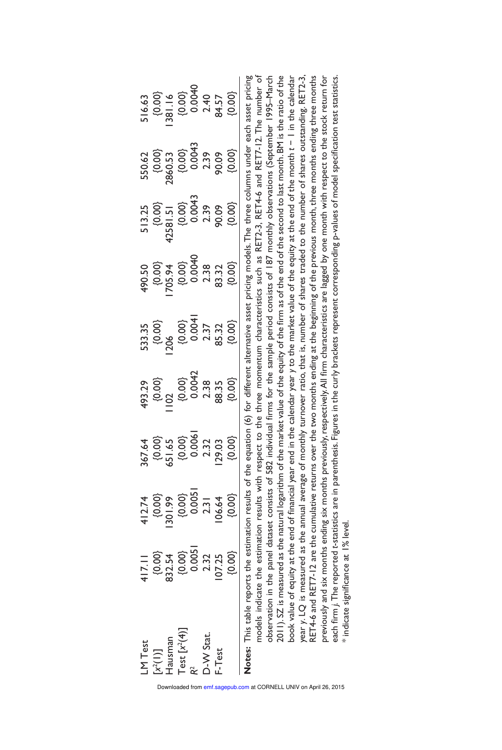| LM Test<br>[x <sup>2(1)]</sup><br>Hausman<br>Test [x <sup>2</sup> (4)]<br>R-W Stat.<br>D-W Stat.<br>F-Test | $417.11$<br>$0.003$<br>$0.005$<br>$0.005$<br>$0.005$<br>$0.005$<br>$0.003$<br>$0.003$ |                                                                                                          |                                                                    |                                                                              |                                                                                                      | 513.25<br>{0.00}<br>{0.00}<br>{0.00}<br>{0.00}<br>{0.00}<br>{0.00} |                                                                                       | 516.63<br> 0.00 <br> 0.00 <br> 20  0.00 <br> 0.00 <br> 0.00 |
|------------------------------------------------------------------------------------------------------------|---------------------------------------------------------------------------------------|----------------------------------------------------------------------------------------------------------|--------------------------------------------------------------------|------------------------------------------------------------------------------|------------------------------------------------------------------------------------------------------|--------------------------------------------------------------------|---------------------------------------------------------------------------------------|-------------------------------------------------------------|
|                                                                                                            |                                                                                       |                                                                                                          |                                                                    |                                                                              |                                                                                                      |                                                                    |                                                                                       |                                                             |
|                                                                                                            |                                                                                       |                                                                                                          |                                                                    |                                                                              |                                                                                                      |                                                                    |                                                                                       |                                                             |
|                                                                                                            |                                                                                       |                                                                                                          |                                                                    |                                                                              |                                                                                                      |                                                                    |                                                                                       |                                                             |
|                                                                                                            |                                                                                       | $412.74$<br>$(9.00)$<br>$(9.00)$<br>$(9.00)$<br>$(9.00)$<br>$(9.00)$<br>$(9.00)$<br>$(9.00)$<br>$(9.00)$ | $493.29$ $0.000$ $0.00042$ $0.00042$ $0.00042$ $0.00042$ $0.00042$ | 533.35<br>(0.00)<br>(206 0.004 1<br>2000 0.004 1<br>2000 0.005<br>2000 0.005 | $490.50$<br>$(200.34)$<br>$(200.4)$<br>$(200.4)$<br>$(200.4)$<br>$(200.4)$<br>$(200.4)$<br>$(200.4)$ |                                                                    | 550.62<br>(0.00)<br>(0.00)<br>2860.63<br>2000,000<br>2000,000<br>2000,000<br>2000,000 |                                                             |
| ani This toble mon                                                                                         |                                                                                       |                                                                                                          |                                                                    |                                                                              |                                                                                                      |                                                                    |                                                                                       |                                                             |

**Notes:** This table reports the estimation results of the equation (6) for different alternative asset pricing models. The three columns under each asset pricing models indicate the estimation results with respect to the three momentum characteristics such as RET2-3, RET4-6 and RET7-12. The number of observation in the panel dataset consists of 582 individual firms for the sample period consists of 187 monthly observations (September 1995–March 2011). SZ is measured as the natural logarithm of the market value of the equity of the firm as of the end of the second to last month. BM is the ratio of the book value of equity at the end of financial year end in the calendar year *y* to the market value of the equity at the end of the month *t* − 1 in the calendar year *y*. LQ is measured as the annual average of monthly turnover ratio, that is, number of shares traded to the number of shares outstanding. RET2-3, RET4-6 and RET7-12 are the cumulative returns over the two months ending at the beginning of the previous month, three months ending three months previously and six months ending six months previously, respectively. All firm characteristics are lagged by one month with respect to the stock return for each firm *j.* The reported *t*-statistics are in parenthesis. Figures in the curly brackets represent corresponding p-values of model specification test statistics. 2011).SZ is measured as the natural logarithm of the market value of the equity of the firm as of the end of the second to last month. BM is the ratio of the RET4-6 and RET7-12 are the cumulative returns over the two months ending at the beginning of the previous month, three months ending three months previously and six months ending six months previously, respectively.All firm characteristics are lagged by one month with respect to the stock return for ach firm j. The reported t-statistics are in parenthesis. Figures in the curly brackets represent corresponding p-values of model specification test statistics. Notes: This table reports the estimation results of the equation (6) for different alternative asset pricing models. The three columns under each asset pricing models indicate the estimation results with respect to the three momentum characteristics such as RET2-3, RET4-6 and RET7-12. The number of observation in the panel dataset consists of 582 individual firms for the sample period consists of 187 monthly observations (September 1995-March book value of equity at the end of financial year end in the calendar year y to the market value of the equity at the end of the month t – 1 in the calendar year y. LQ is measured as the annual average of monthly turnover ratio, that is, number of shares traded to the number of shares outstanding. RET2-3. \* indicate significance at 1% level. \* indicate significance at 1% level.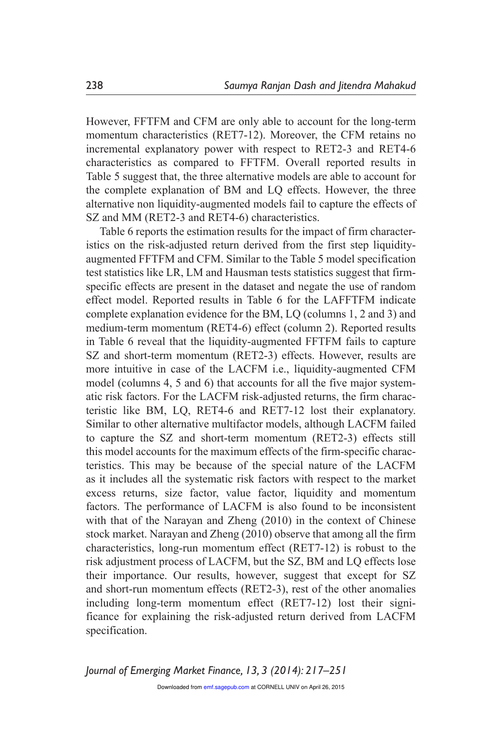However, FFTFM and CFM are only able to account for the long-term momentum characteristics (RET7-12). Moreover, the CFM retains no incremental explanatory power with respect to RET2-3 and RET4-6 characteristics as compared to FFTFM. Overall reported results in Table 5 suggest that, the three alternative models are able to account for the complete explanation of BM and LQ effects. However, the three alternative non liquidity-augmented models fail to capture the effects of SZ and MM (RET2-3 and RET4-6) characteristics.

Table 6 reports the estimation results for the impact of firm characteristics on the risk-adjusted return derived from the first step liquidityaugmented FFTFM and CFM. Similar to the Table 5 model specification test statistics like LR, LM and Hausman tests statistics suggest that firmspecific effects are present in the dataset and negate the use of random effect model. Reported results in Table 6 for the LAFFTFM indicate complete explanation evidence for the BM, LQ (columns 1, 2 and 3) and medium-term momentum (RET4-6) effect (column 2). Reported results in Table 6 reveal that the liquidity-augmented FFTFM fails to capture SZ and short-term momentum (RET2-3) effects. However, results are more intuitive in case of the LACFM i.e., liquidity-augmented CFM model (columns 4, 5 and 6) that accounts for all the five major systematic risk factors. For the LACFM risk-adjusted returns, the firm characteristic like BM, LQ, RET4-6 and RET7-12 lost their explanatory. Similar to other alternative multifactor models, although LACFM failed to capture the SZ and short-term momentum (RET2-3) effects still this model accounts for the maximum effects of the firm-specific characteristics. This may be because of the special nature of the LACFM as it includes all the systematic risk factors with respect to the market excess returns, size factor, value factor, liquidity and momentum factors. The performance of LACFM is also found to be inconsistent with that of the Narayan and Zheng (2010) in the context of Chinese stock market. Narayan and Zheng (2010) observe that among all the firm characteristics, long-run momentum effect (RET7-12) is robust to the risk adjustment process of LACFM, but the SZ, BM and LQ effects lose their importance. Our results, however, suggest that except for SZ and short-run momentum effects (RET2-3), rest of the other anomalies including long-term momentum effect (RET7-12) lost their significance for explaining the risk-adjusted return derived from LACFM specification.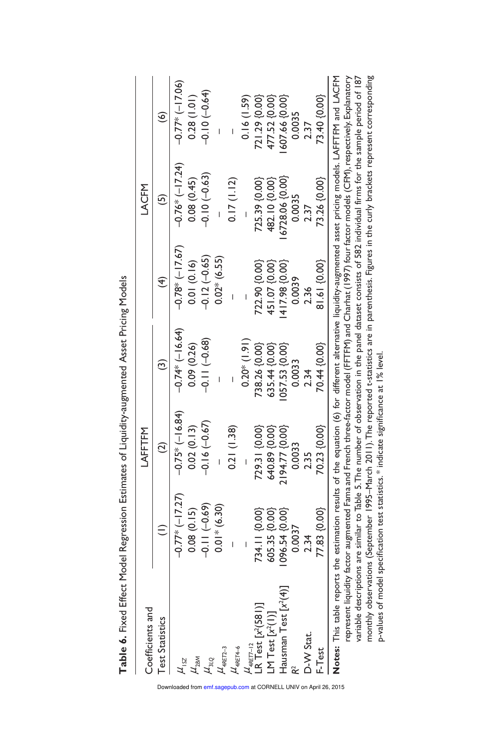Table 6. Fixed Effect Model Regression Estimates of Liquidity-augmented Asset Pricing Models **Table 6.** Fixed Effect Model Regression Estimates of Liquidity-augmented Asset Pricing Models

| Coefficients and                                                                                                                                           |                     | LAFFTFM                                                                                                                                           |                   |                  | LACFM            |                     |
|------------------------------------------------------------------------------------------------------------------------------------------------------------|---------------------|---------------------------------------------------------------------------------------------------------------------------------------------------|-------------------|------------------|------------------|---------------------|
| <b>Test Statistics</b>                                                                                                                                     |                     | $\widehat{\alpha}$                                                                                                                                |                   |                  |                  | $\widehat{\bullet}$ |
| $\mu$ <sub>152</sub>                                                                                                                                       | $-0.77*$ $(-17.27)$ | $-0.75*(-16.84)$                                                                                                                                  | $-0.74*$ (-16.64) | $-0.78*(-17.67)$ | $-0.76*(-17.24)$ | $-0.77*(-17.06)$    |
|                                                                                                                                                            | 0.08(0.15)          | 0.02(0.13)                                                                                                                                        | 0.09(0.26)        | 0.01(0.16)       | 0.08(0.45)       | 0.28(1.01)          |
| $\frac{\mu_{\rm BSM}}{\mu_{\rm 3LQ}}$                                                                                                                      | $-0.11(-0.69)$      | $-0.16(-0.67)$                                                                                                                                    | $-0.11(-0.68)$    | $-0.12(-0.65)$   | $-0.10(-0.63)$   | $-0.10(-0.64)$      |
| $\mu_{\textrm{ART2--3}}$                                                                                                                                   | $0.01*$ (6.30)      |                                                                                                                                                   |                   | $0.02*(6.55)$    |                  |                     |
| $\mu_{\text{ARET4-6}}$                                                                                                                                     |                     | 0.21(1.38)                                                                                                                                        |                   |                  | 0.17(1.12)       |                     |
|                                                                                                                                                            |                     |                                                                                                                                                   | $0.20*$ (1.91)    |                  |                  | 0.16(1.59)          |
| <i>U</i><br>LR Test [x <sup>2</sup> (581)]<br>LR Test [x <sup>2</sup> (581)]                                                                               | 734.11 {0.00}       | 729.31 {0.00}                                                                                                                                     | 738.26 {0.00}     | 722.90 {0.00}    | 725.39 {0.00}    | 721.29 {0.00}       |
| LM Test $[x^2(1)]$                                                                                                                                         | 605.35 {0.00}       | 640.89 {0.00}                                                                                                                                     | 635.44 {0.00}     | 451.07 {0.00}    | 482.10 {0.00}    | 477.52 {0.00}       |
| Hausman Test $[x^2(4)]$                                                                                                                                    | 096.54 {0.00}       | 2194.77 {0.00}                                                                                                                                    | 057.53 {0.00}     | 417.98 {0.00}    | 6728.06 {0.00}   | 607.66 {0.00}       |
|                                                                                                                                                            | 0.0037              | 0.0033                                                                                                                                            | 0.0033            | 0.0039           | 0.0035           | 0.0035              |
| D-W Stat.                                                                                                                                                  | 2.34                | 2.35                                                                                                                                              | 2.34              | 2.36             | 2.37             | 2.37                |
| F-Test                                                                                                                                                     | 77.83 {0.00}        | 70.23 {0.00}                                                                                                                                      | 70.44 {0.00}      | $81.61\{0.00\}$  | 73.26 {0.00}     | 73.40 {0.00}        |
| Notes: This table reports the estimation results of the equation (6) for different alternative liquidity-augmented asset pricing models. LAFFTFM and LACFM |                     | represent lighty factor augmented Enma and French threa-factor model (FETEM) and Charbat (1997) four factor models (CEM) respectively Explanatory |                   |                  |                  |                     |

represent liquidity factor augmented Fama and French three-factor model (FFTFM) and Charhat (1997) four factor models (CFM), respectively. Explanatory variable descriptions are similar to Table 5. The number of observation in the panel dataset consists of 582 individual firms for the sample period of 187 monthly observations (September 1995–March 2011). The reported t-statistics are in parenthesis. Figures in the curly brackets represent corresponding monthly observations (September 1995–March 2011).The reported t-statistics are in parenthesis. Figures in the curly brackets represent corresponding variable descriptions are similar to Table 5. The number of observation in the panel dataset consists of 582 individual firms for the sample period of 187 Undergrown hyperator (1) The Control of the Change of the Change of the Change of the Change of the Change of the Change of the Change of the Change of the Change of the Change of the Change of the Change of the Change of p-values of model specification test statistics.\* indicate significance at 1% level. p-values of model specification test statistics. \* indicate significance at 1% level.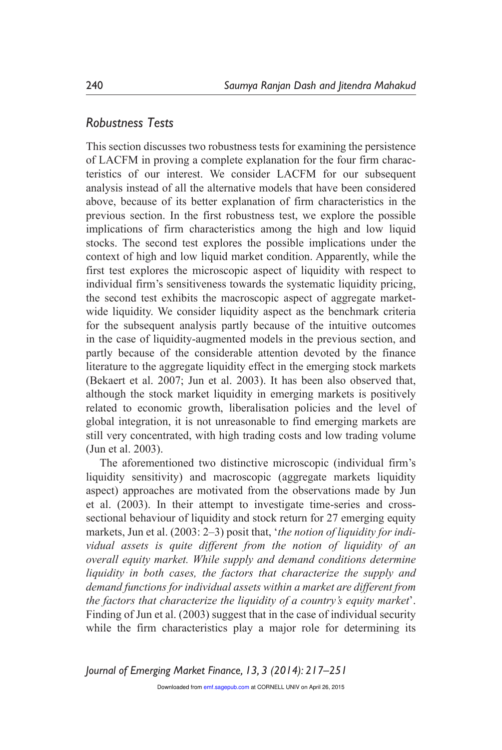### *Robustness Tests*

This section discusses two robustness tests for examining the persistence of LACFM in proving a complete explanation for the four firm characteristics of our interest. We consider LACFM for our subsequent analysis instead of all the alternative models that have been considered above, because of its better explanation of firm characteristics in the previous section. In the first robustness test, we explore the possible implications of firm characteristics among the high and low liquid stocks. The second test explores the possible implications under the context of high and low liquid market condition. Apparently, while the first test explores the microscopic aspect of liquidity with respect to individual firm's sensitiveness towards the systematic liquidity pricing, the second test exhibits the macroscopic aspect of aggregate marketwide liquidity. We consider liquidity aspect as the benchmark criteria for the subsequent analysis partly because of the intuitive outcomes in the case of liquidity-augmented models in the previous section, and partly because of the considerable attention devoted by the finance literature to the aggregate liquidity effect in the emerging stock markets (Bekaert et al. 2007; Jun et al. 2003). It has been also observed that, although the stock market liquidity in emerging markets is positively related to economic growth, liberalisation policies and the level of global integration, it is not unreasonable to find emerging markets are still very concentrated, with high trading costs and low trading volume (Jun et al. 2003).

The aforementioned two distinctive microscopic (individual firm's liquidity sensitivity) and macroscopic (aggregate markets liquidity aspect) approaches are motivated from the observations made by Jun et al. (2003). In their attempt to investigate time-series and crosssectional behaviour of liquidity and stock return for 27 emerging equity markets, Jun et al. (2003: 2–3) posit that, '*the notion of liquidity for individual assets is quite different from the notion of liquidity of an overall equity market. While supply and demand conditions determine liquidity in both cases, the factors that characterize the supply and demand functions for individual assets within a market are different from the factors that characterize the liquidity of a country's equity market*'. Finding of Jun et al. (2003) suggest that in the case of individual security while the firm characteristics play a major role for determining its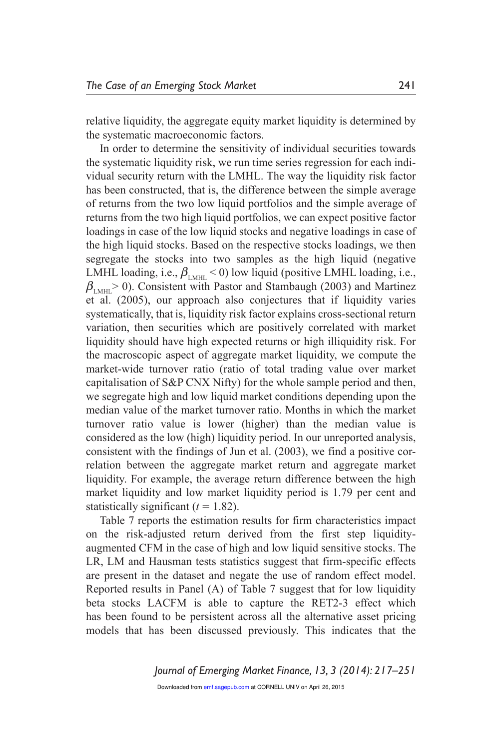relative liquidity, the aggregate equity market liquidity is determined by the systematic macroeconomic factors.

In order to determine the sensitivity of individual securities towards the systematic liquidity risk, we run time series regression for each individual security return with the LMHL. The way the liquidity risk factor has been constructed, that is, the difference between the simple average of returns from the two low liquid portfolios and the simple average of returns from the two high liquid portfolios, we can expect positive factor loadings in case of the low liquid stocks and negative loadings in case of the high liquid stocks. Based on the respective stocks loadings, we then segregate the stocks into two samples as the high liquid (negative LMHL loading, i.e.,  $\beta_{\text{LMHL}}$  < 0) low liquid (positive LMHL loading, i.e.,  $\beta_{\text{LMH}}$ > 0). Consistent with Pastor and Stambaugh (2003) and Martinez et al. (2005), our approach also conjectures that if liquidity varies systematically, that is, liquidity risk factor explains cross-sectional return variation, then securities which are positively correlated with market liquidity should have high expected returns or high illiquidity risk. For the macroscopic aspect of aggregate market liquidity, we compute the market-wide turnover ratio (ratio of total trading value over market capitalisation of S&P CNX Nifty) for the whole sample period and then, we segregate high and low liquid market conditions depending upon the median value of the market turnover ratio. Months in which the market turnover ratio value is lower (higher) than the median value is considered as the low (high) liquidity period. In our unreported analysis, consistent with the findings of Jun et al. (2003), we find a positive correlation between the aggregate market return and aggregate market liquidity. For example, the average return difference between the high market liquidity and low market liquidity period is 1.79 per cent and statistically significant  $(t = 1.82)$ .

Table 7 reports the estimation results for firm characteristics impact on the risk-adjusted return derived from the first step liquidityaugmented CFM in the case of high and low liquid sensitive stocks. The LR, LM and Hausman tests statistics suggest that firm-specific effects are present in the dataset and negate the use of random effect model. Reported results in Panel (A) of Table 7 suggest that for low liquidity beta stocks LACFM is able to capture the RET2-3 effect which has been found to be persistent across all the alternative asset pricing models that has been discussed previously. This indicates that the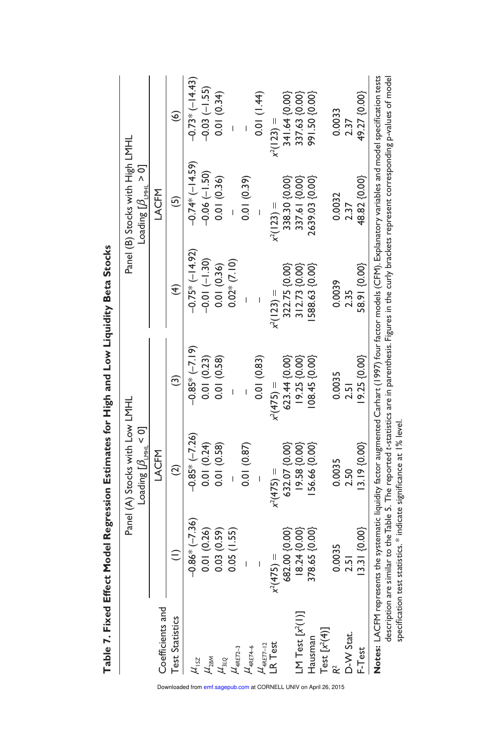| .<br>.<br>.                                                  |
|--------------------------------------------------------------|
|                                                              |
| ֖֧ׅ֧ׅ֧ׅ֧֧֧֧ׅ֧֧ׅ֧֚֚֚֚֚֚֚֚֚֚֚֚֚֚֚֚֚֚֚֚֚֚֚֚֚֚֚֚֬֝֝֜֓֝֓֝֓֝֬֜֓֝֬֜ |
|                                                              |
| I                                                            |
|                                                              |
|                                                              |
|                                                              |
|                                                              |
|                                                              |
| י<br>וו<br>1                                                 |

|                                                                                                                                      |                                       | Panel (A) Stocks with Low LMHL        |                        |                                                                                                                                                                                                                                                                                                                                 | Panel (B) Stocks with High LMHL                  |                     |
|--------------------------------------------------------------------------------------------------------------------------------------|---------------------------------------|---------------------------------------|------------------------|---------------------------------------------------------------------------------------------------------------------------------------------------------------------------------------------------------------------------------------------------------------------------------------------------------------------------------|--------------------------------------------------|---------------------|
|                                                                                                                                      |                                       | Loading $[\beta_{_{\rm LWHL}}\!<\!0]$ |                        |                                                                                                                                                                                                                                                                                                                                 | Loading $\left[\beta_{_{\text{LML}}} > 0\right]$ |                     |
| Coefficients and                                                                                                                     |                                       | LACFM                                 |                        |                                                                                                                                                                                                                                                                                                                                 | LACFM                                            |                     |
| <b>Test Statistics</b>                                                                                                               | $\widehat{=}$                         | $\widehat{c}$                         | $\widehat{\mathbf{c}}$ | $\widehat{f}$                                                                                                                                                                                                                                                                                                                   | $\overline{5}$                                   | $\widehat{\bullet}$ |
|                                                                                                                                      | $-0.86* (-7.36)$                      | $-0.85*(-7.26)$                       | $-0.85*(-7.19)$        | $-0.75*(-14.92)$                                                                                                                                                                                                                                                                                                                | $-0.74*$ (-14.59)                                | $-0.73*(-14.43)$    |
|                                                                                                                                      | 0.01 (0.26)                           | 0.01(0.24)                            | 0.01(0.23)             | $-0.01(-1.30)$                                                                                                                                                                                                                                                                                                                  | $-0.06(-1.50)$                                   | $-0.03(-1.55)$      |
|                                                                                                                                      | 0.03(0.59)                            | 0.01(0.58)                            | 0.01(0.58)             | 0.01(0.36)                                                                                                                                                                                                                                                                                                                      | 0.01(0.36)                                       | 0.01(0.34)          |
|                                                                                                                                      | 0.05(1.55)                            |                                       |                        | $0.02*$ (7.10)                                                                                                                                                                                                                                                                                                                  |                                                  |                     |
|                                                                                                                                      |                                       | 0.01(0.87)                            |                        |                                                                                                                                                                                                                                                                                                                                 | 0.01(0.39)                                       |                     |
| $\frac{\mu_{12}}{\mu_{2\text{BM}}}$<br>$\frac{\mu_{31Q}}{\mu_{4\text{RE}7-3}}$<br>$\frac{\mu_{4\text{RE}7-3}}{\mu_{4\text{RE}7-12}}$ |                                       |                                       | 0.01(0.83)             |                                                                                                                                                                                                                                                                                                                                 |                                                  | 0.01 (1.44)         |
|                                                                                                                                      | $(475) =$<br>$\widetilde{\mathbf{x}}$ | $x^2(475) =$                          | $x^2(475) =$           | $x^2(123) =$                                                                                                                                                                                                                                                                                                                    | $x^2(123) =$                                     | $x^2(123) =$        |
|                                                                                                                                      | 682.00 {0.00}                         | 632.07 {0.00}                         | 623.44 {0.00}          | 322.75 {0.00}                                                                                                                                                                                                                                                                                                                   | 338.30 {0.00}                                    | 341.64 {0.00}       |
| LM Test $[x^2(1)]$                                                                                                                   | $18.24\{0.00\}$                       | 19.58 {0.00}                          | 19.25 {0.00}           | 312.73 {0.00}                                                                                                                                                                                                                                                                                                                   | 337.61 {0.00}                                    | 337.63 {0.00}       |
| Hausman                                                                                                                              | 378.65 {0.00}                         | 56.66 {0.00}                          | 08.45(0.00)            | 588.63 {0.00}                                                                                                                                                                                                                                                                                                                   | 2639.03 {0.00}                                   | 891.50 {0.00}       |
| Test $[x^2(4)]$                                                                                                                      |                                       |                                       |                        |                                                                                                                                                                                                                                                                                                                                 |                                                  |                     |
|                                                                                                                                      | 0.0035                                | 0.0035                                | 0.0035                 | 0.0039                                                                                                                                                                                                                                                                                                                          | 0.0032                                           | 0.0033              |
| D-W Stat.                                                                                                                            | $-51$                                 | 2.50                                  | 2.51                   | 2.35                                                                                                                                                                                                                                                                                                                            | 2.37                                             | 2.37                |
| $-$ Test                                                                                                                             | $ 3.3 $ {0.00}                        | $3.19\{0.00\}$                        | $9.25\;$ {0.00}        | 58.91 {0.00}                                                                                                                                                                                                                                                                                                                    | 48.82 {0.00}                                     | 49.27 {0.00}        |
|                                                                                                                                      |                                       |                                       |                        | Notes: LACFM represents the systematic liquidity factor augmented Carhart (1997) four factor models (CFM). Explanatory variables and model specification tests<br>description are similar to the Table 5. The reported t-statistics are in parenthesis. Figures in the curly brackets represent corresponding p-values of model |                                                  |                     |

specification test statistics. \* indicate significance at 1% level.

specification test statistics.\* indicate significance at 1% level.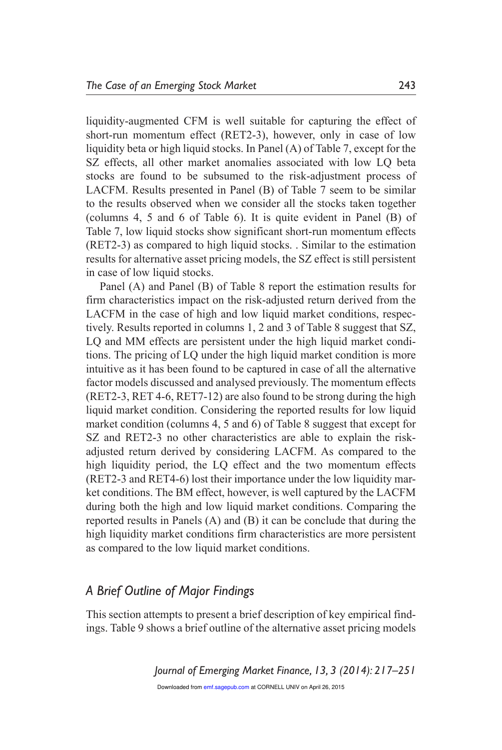liquidity-augmented CFM is well suitable for capturing the effect of short-run momentum effect (RET2-3), however, only in case of low liquidity beta or high liquid stocks. In Panel (A) of Table 7, except for the SZ effects, all other market anomalies associated with low LQ beta stocks are found to be subsumed to the risk-adjustment process of LACFM. Results presented in Panel (B) of Table 7 seem to be similar to the results observed when we consider all the stocks taken together (columns 4, 5 and 6 of Table 6). It is quite evident in Panel (B) of Table 7, low liquid stocks show significant short-run momentum effects (RET2-3) as compared to high liquid stocks. . Similar to the estimation results for alternative asset pricing models, the SZ effect is still persistent in case of low liquid stocks.

Panel (A) and Panel (B) of Table 8 report the estimation results for firm characteristics impact on the risk-adjusted return derived from the LACFM in the case of high and low liquid market conditions, respectively. Results reported in columns 1, 2 and 3 of Table 8 suggest that SZ, LQ and MM effects are persistent under the high liquid market conditions. The pricing of LQ under the high liquid market condition is more intuitive as it has been found to be captured in case of all the alternative factor models discussed and analysed previously. The momentum effects (RET2-3, RET 4-6, RET7-12) are also found to be strong during the high liquid market condition. Considering the reported results for low liquid market condition (columns 4, 5 and 6) of Table 8 suggest that except for SZ and RET2-3 no other characteristics are able to explain the riskadjusted return derived by considering LACFM. As compared to the high liquidity period, the LQ effect and the two momentum effects (RET2-3 and RET4-6) lost their importance under the low liquidity market conditions. The BM effect, however, is well captured by the LACFM during both the high and low liquid market conditions. Comparing the reported results in Panels (A) and (B) it can be conclude that during the high liquidity market conditions firm characteristics are more persistent as compared to the low liquid market conditions.

#### *A Brief Outline of Major Findings*

This section attempts to present a brief description of key empirical findings. Table 9 shows a brief outline of the alternative asset pricing models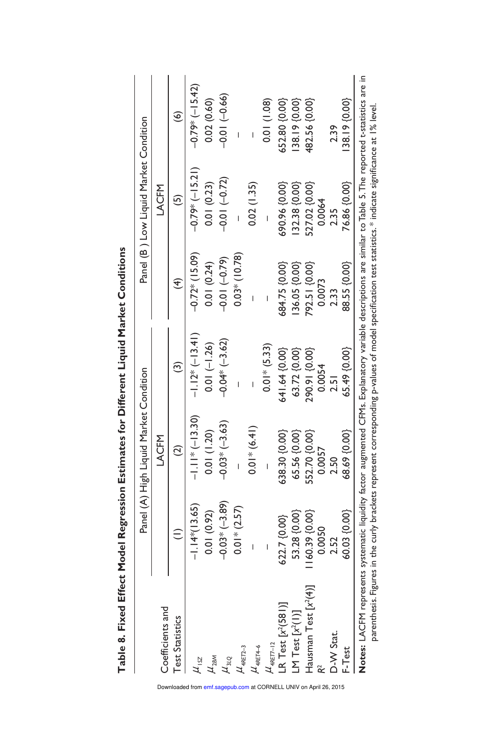|                                                                                                                                                                |                 | Panel (A) High Liquid Market Condition |                 |                 | Panel (B) Low Liquid Market Condition |                  |
|----------------------------------------------------------------------------------------------------------------------------------------------------------------|-----------------|----------------------------------------|-----------------|-----------------|---------------------------------------|------------------|
| Coefficients and                                                                                                                                               |                 | LACFM                                  |                 |                 | LACFM                                 |                  |
| <b>Test Statistics</b>                                                                                                                                         |                 |                                        | ල               | 4               | مَ                                    | ၜ                |
| $\mu_{\scriptscriptstyle \rm ISZ}$                                                                                                                             | $-1.14*(13.65)$ | $-1.1$ * $(-13.30)$                    | $1.12*(-13.41)$ | $-0.72*(15.09)$ | $-0.79*(-15.21)$                      | $-0.79*(-15.42)$ |
| $\mu_{\rm 2BM}$                                                                                                                                                | 0.01 (0.92)     | 0.01(1.20)                             | $0.01 (-1.26)$  | 0.01(0.24)      | 0.01(0.23)                            | 0.02(0.60)       |
| $\mu_{_{3LQ}}$                                                                                                                                                 | $-0.03*(-3.89)$ | $-0.03*(-3.63)$                        | $-0.04*(-3.62)$ | $-0.01(-0.79)$  | $-0.01(-0.72)$                        | $-0.01(-0.66)$   |
| $\mu_{\textrm{aRET2-3}}$                                                                                                                                       | $0.01*$ (2.57)  |                                        |                 | $0.03*$ (10.78) |                                       |                  |
| $\mu_{\textrm{ARETA-6}}$                                                                                                                                       |                 | $0.01*(6.41)$                          |                 |                 | 0.02(1.35)                            |                  |
| $\mu_{\text{aRET7-12}}$                                                                                                                                        |                 |                                        | $0.01*$ (5.33)  |                 |                                       | 0.01(1.08)       |
| LR Test $[x^2(581)]$                                                                                                                                           | 622.7 {0.00}    | 638.30 {0.00}                          | 641.64 {0.00}   | 684.75 {0.00}   | 690.96 {0.00}                         | 652.80 {0.00}    |
| LM Test $[x^2(1)]$                                                                                                                                             | 53.28 {0.00}    | 65.56 {0.00}                           | 63.72 {0.00}    | 36.05 {0.00}    | 32.38 {0.00}                          | 38.19 {0.00}     |
| Hausman Test $[x'(4)]$                                                                                                                                         | 160.39 {0.00}   | 552.70 {0.00}                          | 290.91 {0.00}   | 792.51 {0.00}   | 327.02 {0.00}                         | 482.56 {0.00}    |
|                                                                                                                                                                | 0.0050          | 0.0057                                 | 0.0054          | 0.0073          | 0.0064                                |                  |
| D-W Stat.                                                                                                                                                      |                 | 2.50                                   | $\overline{5}$  | 233             | 2.35                                  | 2.39             |
| F-Test                                                                                                                                                         | 60.03 {0.00}    | 68.69 {0.00}                           | 65.49 {0.00}    | 88.55 {0.00}    | 76.86 {0.00}                          | 38.19 {0.00}     |
| Notes: LACFM represents systematic liquidity factor augmented CFMs. Explanatory variable descriptions are similar to Table 5. The reported t-statistics are in |                 |                                        |                 |                 |                                       |                  |

parenthesis. Figures in the curly brackets represent corresponding p-values of model specification test statistics. \* indicate significance at 1% level.

parenthesis. Figures in the curly brackets represent corresponding p-values of model specification test statistics. \* indicate significance at 1% level.

Table 8. Fixed Effect Model Regression Estimates for Different Liquid Market Conditions **Table 8. Fixed Effect Model Regression Estimates for Different Liquid Market Conditions**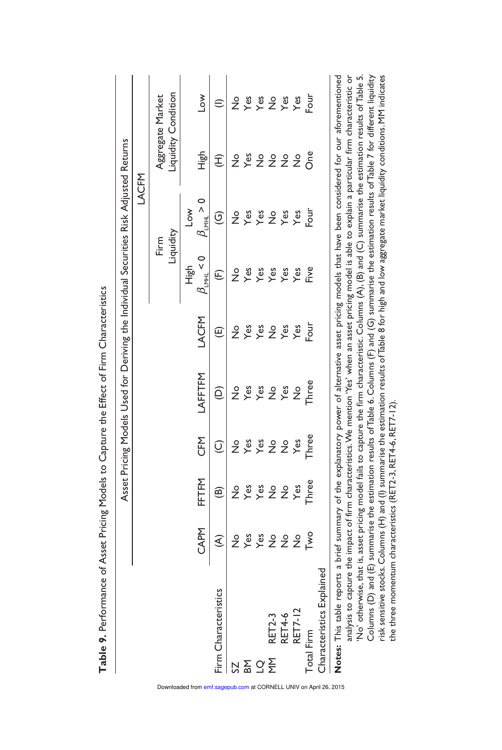Table 9. Performance of Asset Pricing Models to Capture the Effect of Firm Characteristics **Table 9.** Performance of Asset Pricing Models to Capture the Effect of Firm Characteristics

|                                                                                                                                                              |               |               |                         | Asset Pricing Models Used for Deriving the Individual Securities Risk Adjusted Returns |                 |                        |                          |                     |                   |
|--------------------------------------------------------------------------------------------------------------------------------------------------------------|---------------|---------------|-------------------------|----------------------------------------------------------------------------------------|-----------------|------------------------|--------------------------|---------------------|-------------------|
|                                                                                                                                                              |               |               |                         |                                                                                        |                 |                        | LACFM                    |                     |                   |
|                                                                                                                                                              |               |               |                         |                                                                                        |                 |                        | Liquidity<br>Firm        | Liquidity Condition | Aggregate Market  |
|                                                                                                                                                              |               |               |                         |                                                                                        |                 | High                   | $\overline{\phantom{0}}$ |                     |                   |
|                                                                                                                                                              | CAPM          | FFTFM         | <b>CFM</b>              | LAFFTFM                                                                                | LACFM           | $\beta_{LML} < 0$      | $\beta_{LML} > 0$        | High                | $\geq$            |
| Firm Characteristics                                                                                                                                         | €             | ම             | $\widehat{\mathcal{Q}}$ | ê                                                                                      | $\widehat{\Xi}$ | $\widehat{\mathbb{E}}$ | ତ୍ର                      | £                   |                   |
|                                                                                                                                                              | ż             | $\frac{1}{2}$ | ż                       | ż                                                                                      | ż               | ە<br>2                 | ž                        | $\frac{1}{2}$       | ż                 |
| <u> 2 중 정 준</u>                                                                                                                                              | Yes           | Yes           | Yes                     | Yes                                                                                    | Yes             | Yes                    | Yes                      | Yes                 | Yes               |
|                                                                                                                                                              | $Y$ es        | Yes           | Yes                     | Yes                                                                                    | Yes             | Yes                    | Yes                      | $\frac{1}{2}$       | $\xi$ $\xi$ $\xi$ |
| <b>RET2-3</b>                                                                                                                                                | $\frac{1}{2}$ | $\frac{1}{2}$ | $\frac{1}{2}$           | $\frac{1}{2}$                                                                          | $\frac{1}{2}$   | Yes                    | $\frac{1}{2}$            | $\frac{1}{2}$       |                   |
| RET4-6<br>RET7-12                                                                                                                                            | $\frac{1}{2}$ | $\frac{1}{2}$ | $\frac{0}{2}$           | $Y$ es                                                                                 | Yes             | Yes                    | Yes                      | $\frac{1}{2}$       |                   |
|                                                                                                                                                              | $\frac{1}{2}$ | Yes           | $Y$ es                  | ž                                                                                      | Yes             | Yes                    | Yes                      | $\frac{1}{2}$       | Yes               |
| Total Firm                                                                                                                                                   | ە<br><        | Three         | Three                   | Three                                                                                  | Four            | <b>Five</b>            | Four                     | င်္ဂ                | Four              |
| Characteristics Explained                                                                                                                                    |               |               |                         |                                                                                        |                 |                        |                          |                     |                   |
| Notes: This table reports a brief summary of the explanatory power of alternative asset pricing models that have been considered for our aforementioned      |               |               |                         |                                                                                        |                 |                        |                          |                     |                   |
| analysis to capture the impact of firm characteristics. We mention 'Yes' when an asset pricing model is able to explain a particular firm characteristic or  |               |               |                         |                                                                                        |                 |                        |                          |                     |                   |
| 'No' otherwise, that is, asset pricing model fails to capture the firm characteristic. Columns (A), (B) and (C) summarise the estimation results of Table 5. |               |               |                         |                                                                                        |                 |                        |                          |                     |                   |
| Columns (D) and (E) summarise the estimation results of Table 6. Columns (F) and (G) summarise the estimation results of Table 7 for different liquidity     |               |               |                         |                                                                                        |                 |                        |                          |                     |                   |

Columns (D) and (E) summarise the estimation results of Table 6. Columns (F) and (G) summarise the estimation results of Table 7 for different liquidity risk sensitive stocks. Columns (H) and (I) summarise the estimation results of Table 8 for high and low aggregate market liquidity conditions. MM indicates

risk sensitive stocks. Columns (H) and (I) summarise the estimation results of Table 8 for high and low aggregate market liquidity conditions. MM indicates

the three momentum characteristics (RET2-3, RET4-6, RET7-12).

the three momentum characteristics (RET2-3, RET4-6, RET7-12).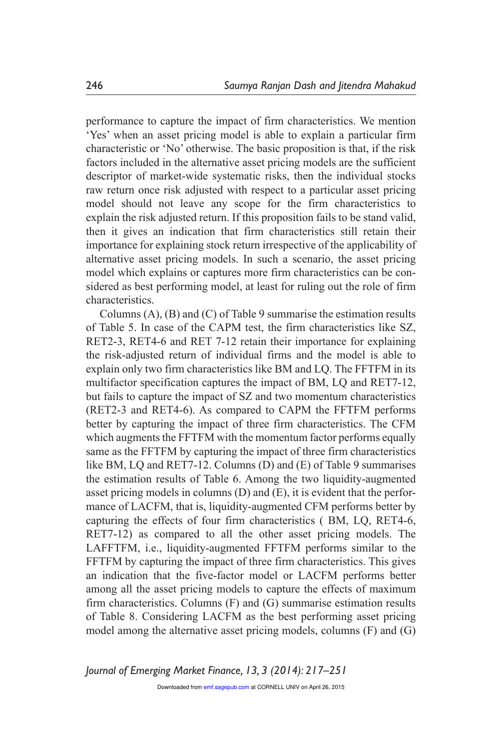performance to capture the impact of firm characteristics. We mention 'Yes' when an asset pricing model is able to explain a particular firm characteristic or 'No' otherwise. The basic proposition is that, if the risk factors included in the alternative asset pricing models are the sufficient descriptor of market-wide systematic risks, then the individual stocks raw return once risk adjusted with respect to a particular asset pricing model should not leave any scope for the firm characteristics to explain the risk adjusted return. If this proposition fails to be stand valid, then it gives an indication that firm characteristics still retain their importance for explaining stock return irrespective of the applicability of alternative asset pricing models. In such a scenario, the asset pricing model which explains or captures more firm characteristics can be considered as best performing model, at least for ruling out the role of firm characteristics.

Columns (A), (B) and (C) of Table 9 summarise the estimation results of Table 5. In case of the CAPM test, the firm characteristics like SZ, RET2-3, RET4-6 and RET 7-12 retain their importance for explaining the risk-adjusted return of individual firms and the model is able to explain only two firm characteristics like BM and LQ. The FFTFM in its multifactor specification captures the impact of BM, LQ and RET7-12, but fails to capture the impact of SZ and two momentum characteristics (RET2-3 and RET4-6). As compared to CAPM the FFTFM performs better by capturing the impact of three firm characteristics. The CFM which augments the FFTFM with the momentum factor performs equally same as the FFTFM by capturing the impact of three firm characteristics like BM, LQ and RET7-12. Columns (D) and (E) of Table 9 summarises the estimation results of Table 6. Among the two liquidity-augmented asset pricing models in columns (D) and (E), it is evident that the performance of LACFM, that is, liquidity-augmented CFM performs better by capturing the effects of four firm characteristics ( BM, LQ, RET4-6, RET7-12) as compared to all the other asset pricing models. The LAFFTFM, i.e., liquidity-augmented FFTFM performs similar to the FFTFM by capturing the impact of three firm characteristics. This gives an indication that the five-factor model or LACFM performs better among all the asset pricing models to capture the effects of maximum firm characteristics. Columns (F) and (G) summarise estimation results of Table 8. Considering LACFM as the best performing asset pricing model among the alternative asset pricing models, columns (F) and (G)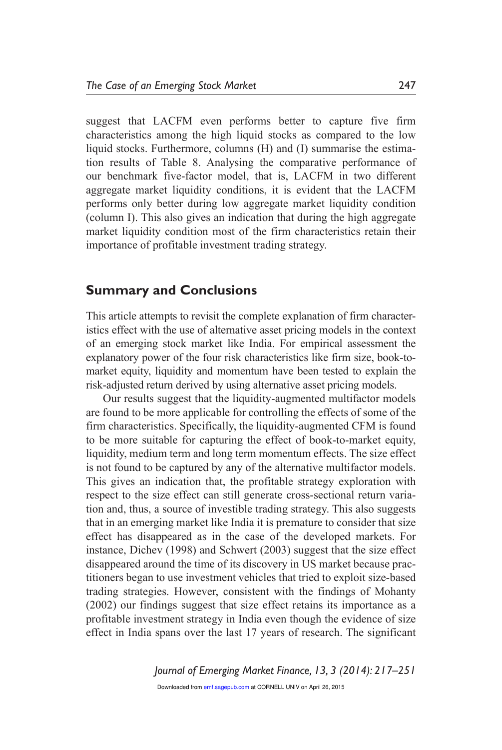suggest that LACFM even performs better to capture five firm characteristics among the high liquid stocks as compared to the low liquid stocks. Furthermore, columns (H) and (I) summarise the estimation results of Table 8. Analysing the comparative performance of our benchmark five-factor model, that is, LACFM in two different aggregate market liquidity conditions, it is evident that the LACFM performs only better during low aggregate market liquidity condition (column I). This also gives an indication that during the high aggregate market liquidity condition most of the firm characteristics retain their importance of profitable investment trading strategy.

#### **Summary and Conclusions**

This article attempts to revisit the complete explanation of firm characteristics effect with the use of alternative asset pricing models in the context of an emerging stock market like India. For empirical assessment the explanatory power of the four risk characteristics like firm size, book-tomarket equity, liquidity and momentum have been tested to explain the risk-adjusted return derived by using alternative asset pricing models.

 Our results suggest that the liquidity-augmented multifactor models are found to be more applicable for controlling the effects of some of the firm characteristics. Specifically, the liquidity-augmented CFM is found to be more suitable for capturing the effect of book-to-market equity, liquidity, medium term and long term momentum effects. The size effect is not found to be captured by any of the alternative multifactor models. This gives an indication that, the profitable strategy exploration with respect to the size effect can still generate cross-sectional return variation and, thus, a source of investible trading strategy. This also suggests that in an emerging market like India it is premature to consider that size effect has disappeared as in the case of the developed markets. For instance, Dichev (1998) and Schwert (2003) suggest that the size effect disappeared around the time of its discovery in US market because practitioners began to use investment vehicles that tried to exploit size-based trading strategies. However, consistent with the findings of Mohanty (2002) our findings suggest that size effect retains its importance as a profitable investment strategy in India even though the evidence of size effect in India spans over the last 17 years of research. The significant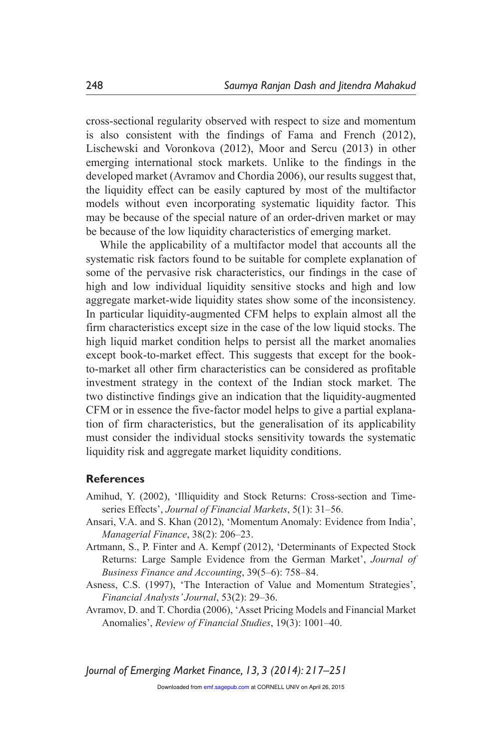cross-sectional regularity observed with respect to size and momentum is also consistent with the findings of Fama and French (2012), Lischewski and Voronkova (2012), Moor and Sercu (2013) in other emerging international stock markets. Unlike to the findings in the developed market (Avramov and Chordia 2006), our results suggest that, the liquidity effect can be easily captured by most of the multifactor models without even incorporating systematic liquidity factor. This may be because of the special nature of an order-driven market or may be because of the low liquidity characteristics of emerging market.

While the applicability of a multifactor model that accounts all the systematic risk factors found to be suitable for complete explanation of some of the pervasive risk characteristics, our findings in the case of high and low individual liquidity sensitive stocks and high and low aggregate market-wide liquidity states show some of the inconsistency. In particular liquidity-augmented CFM helps to explain almost all the firm characteristics except size in the case of the low liquid stocks. The high liquid market condition helps to persist all the market anomalies except book-to-market effect. This suggests that except for the bookto-market all other firm characteristics can be considered as profitable investment strategy in the context of the Indian stock market. The two distinctive findings give an indication that the liquidity-augmented CFM or in essence the five-factor model helps to give a partial explanation of firm characteristics, but the generalisation of its applicability must consider the individual stocks sensitivity towards the systematic liquidity risk and aggregate market liquidity conditions.

#### **References**

- Amihud, Y. (2002), 'Illiquidity and Stock Returns: Cross-section and Timeseries Effects', *Journal of Financial Markets*, 5(1): 31–56.
- Ansari, V.A. and S. Khan (2012), 'Momentum Anomaly: Evidence from India', *Managerial Finance*, 38(2): 206–23.
- Artmann, S., P. Finter and A. Kempf (2012), 'Determinants of Expected Stock Returns: Large Sample Evidence from the German Market', *Journal of Business Finance and Accounting*, 39(5–6): 758–84.
- Asness, C.S. (1997), 'The Interaction of Value and Momentum Strategies', *Financial Analysts' Journal*, 53(2): 29–36.
- Avramov, D. and T. Chordia (2006), 'Asset Pricing Models and Financial Market Anomalies', *Review of Financial Studies*, 19(3): 1001–40.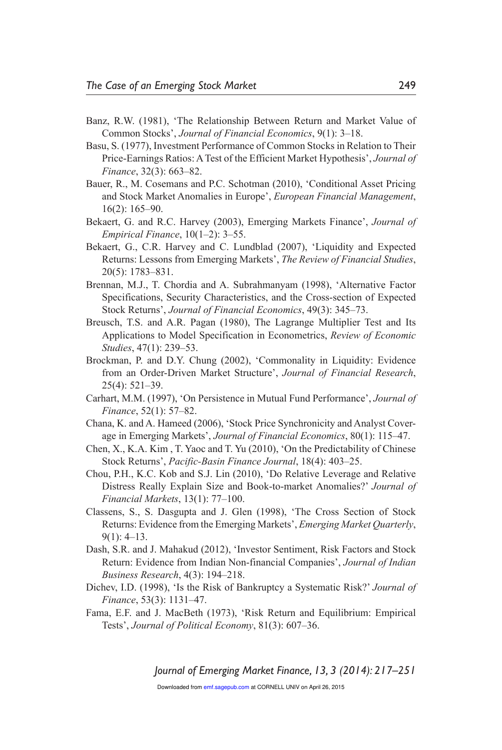- Banz, R.W. (1981), 'The Relationship Between Return and Market Value of Common Stocks', *Journal of Financial Economics*, 9(1): 3–18.
- Basu, S. (1977), Investment Performance of Common Stocks in Relation to Their Price-Earnings Ratios: A Test of the Efficient Market Hypothesis', *Journal of Finance*, 32(3): 663–82.
- Bauer, R., M. Cosemans and P.C. Schotman (2010), 'Conditional Asset Pricing and Stock Market Anomalies in Europe', *European Financial Management*, 16(2): 165–90.
- Bekaert, G. and R.C. Harvey (2003), Emerging Markets Finance', *Journal of Empirical Finance*, 10(1–2): 3–55.
- Bekaert, G., C.R. Harvey and C. Lundblad (2007), 'Liquidity and Expected Returns: Lessons from Emerging Markets', *The Review of Financial Studies*, 20(5): 1783–831.
- Brennan, M.J., T. Chordia and A. Subrahmanyam (1998), 'Alternative Factor Specifications, Security Characteristics, and the Cross-section of Expected Stock Returns', *Journal of Financial Economics*, 49(3): 345–73.
- Breusch, T.S. and A.R. Pagan (1980), The Lagrange Multiplier Test and Its Applications to Model Specification in Econometrics, *Review of Economic Studies*, 47(1): 239–53.
- Brockman, P. and D.Y. Chung (2002), 'Commonality in Liquidity: Evidence from an Order-Driven Market Structure', *Journal of Financial Research*, 25(4): 521–39.
- Carhart, M.M. (1997), 'On Persistence in Mutual Fund Performance', *Journal of Finance*, 52(1): 57–82.
- Chana, K. and A. Hameed (2006), 'Stock Price Synchronicity and Analyst Coverage in Emerging Markets', *Journal of Financial Economics*, 80(1): 115–47.
- Chen, X., K.A. Kim , T. Yaoc and T. Yu (2010), 'On the Predictability of Chinese Stock Returns', *Pacific-Basin Finance Journal*, 18(4): 403–25.
- Chou, P.H., K.C. Kob and S.J. Lin (2010), 'Do Relative Leverage and Relative Distress Really Explain Size and Book-to-market Anomalies?' *Journal of Financial Markets*, 13(1): 77–100.
- Classens, S., S. Dasgupta and J. Glen (1998), 'The Cross Section of Stock Returns: Evidence from the Emerging Markets', *Emerging Market Quarterly*,  $9(1)$ : 4–13.
- Dash, S.R. and J. Mahakud (2012), 'Investor Sentiment, Risk Factors and Stock Return: Evidence from Indian Non-financial Companies', *Journal of Indian Business Research*, 4(3): 194–218.
- Dichev, I.D. (1998), 'Is the Risk of Bankruptcy a Systematic Risk?' *Journal of Finance*, 53(3): 1131–47.
- Fama, E.F. and J. MacBeth (1973), 'Risk Return and Equilibrium: Empirical Tests', *Journal of Political Economy*, 81(3): 607–36.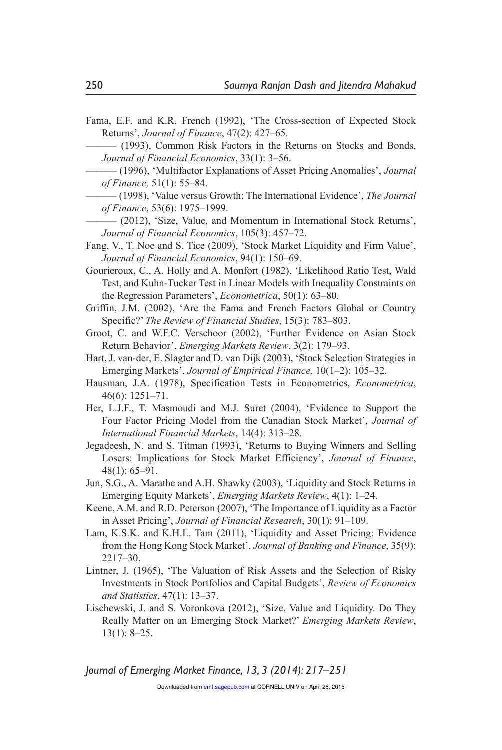Fama, E.F. and K.R. French (1992), 'The Cross-section of Expected Stock Returns', *Journal of Finance*, 47(2): 427–65.

——— (1993), Common Risk Factors in the Returns on Stocks and Bonds, *Journal of Financial Economics*, 33(1): 3–56.

——— (1996), 'Multifactor Explanations of Asset Pricing Anomalies', *Journal of Finance,* 51(1): 55–84.

——— (1998), 'Value versus Growth: The International Evidence', *The Journal of Finance*, 53(6): 1975–1999.

- ——— (2012), 'Size, Value, and Momentum in International Stock Returns', *Journal of Financial Economics*, 105(3): 457–72.
- Fang, V., T. Noe and S. Tice (2009), 'Stock Market Liquidity and Firm Value', *Journal of Financial Economics*, 94(1): 150–69.

Gourieroux, C., A. Holly and A. Monfort (1982), 'Likelihood Ratio Test, Wald Test, and Kuhn-Tucker Test in Linear Models with Inequality Constraints on the Regression Parameters', *Econometrica*, 50(1): 63–80.

Griffin, J.M. (2002), 'Are the Fama and French Factors Global or Country Specific?' *The Review of Financial Studies*, 15(3): 783–803.

Groot, C. and W.F.C. Verschoor (2002), 'Further Evidence on Asian Stock Return Behavior', *Emerging Markets Review*, 3(2): 179–93.

- Hart, J. van-der, E. Slagter and D. van Dijk (2003), 'Stock Selection Strategies in Emerging Markets', *Journal of Empirical Finance*, 10(1–2): 105–32.
- Hausman, J.A. (1978), Specification Tests in Econometrics, *Econometrica*, 46(6): 1251–71.
- Her, L.J.F., T. Masmoudi and M.J. Suret (2004), 'Evidence to Support the Four Factor Pricing Model from the Canadian Stock Market', *Journal of International Financial Markets*, 14(4): 313–28.

Jegadeesh, N. and S. Titman (1993), 'Returns to Buying Winners and Selling Losers: Implications for Stock Market Efficiency', *Journal of Finance*, 48(1): 65–91.

Jun, S.G., A. Marathe and A.H. Shawky (2003), 'Liquidity and Stock Returns in Emerging Equity Markets', *Emerging Markets Review*, 4(1): 1–24.

Keene, A.M. and R.D. Peterson (2007), 'The Importance of Liquidity as a Factor in Asset Pricing', *Journal of Financial Research*, 30(1): 91–109.

- Lam, K.S.K. and K.H.L. Tam (2011), 'Liquidity and Asset Pricing: Evidence from the Hong Kong Stock Market', *Journal of Banking and Finance*, 35(9): 2217–30.
- Lintner, J. (1965), 'The Valuation of Risk Assets and the Selection of Risky Investments in Stock Portfolios and Capital Budgets', *Review of Economics and Statistics*, 47(1): 13–37.
- Lischewski, J. and S. Voronkova (2012), 'Size, Value and Liquidity. Do They Really Matter on an Emerging Stock Market?' *Emerging Markets Review*, 13(1): 8–25.